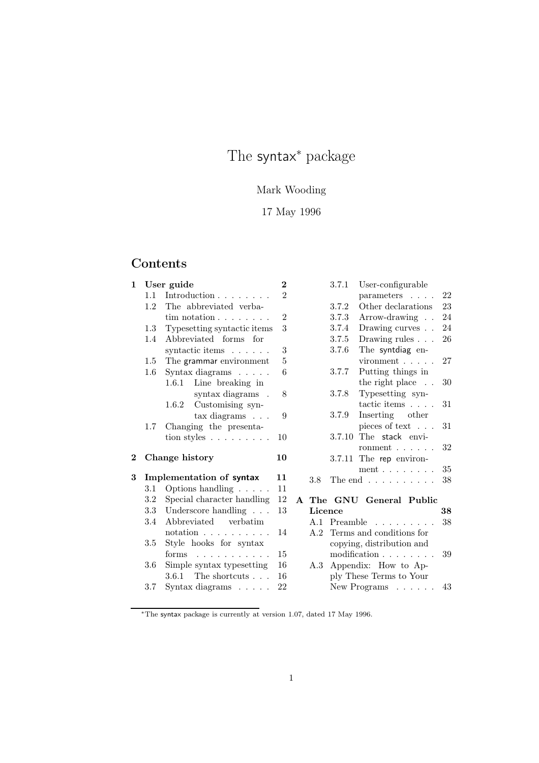# The syntax<sup>∗</sup> package

# Mark Wooding

# 17 May 1996

# Contents

| 1.1<br>1.2<br>1.3<br>$1.4^{\circ}$ | Introduction<br>The abbreviated verba-                       |                                                                                                     |          |         | 3.7.1 | User-configurable                                |                                                                     |
|------------------------------------|--------------------------------------------------------------|-----------------------------------------------------------------------------------------------------|----------|---------|-------|--------------------------------------------------|---------------------------------------------------------------------|
|                                    |                                                              | $\overline{2}$                                                                                      |          |         |       | parameters                                       | 22                                                                  |
|                                    |                                                              |                                                                                                     |          |         | 3.7.2 | Other declarations                               | 23                                                                  |
|                                    | $\text{tim notation} \dots \dots$                            | $\overline{2}$                                                                                      |          |         | 3.7.3 | Arrow-drawing                                    | 24                                                                  |
|                                    | Typesetting syntactic items                                  | 3                                                                                                   |          |         | 3.7.4 | Drawing curves                                   | 24                                                                  |
|                                    | Abbreviated forms for                                        |                                                                                                     |          |         | 3.7.5 | Drawing rules $\ldots$ .                         | 26                                                                  |
|                                    | syntactic items                                              | 3                                                                                                   |          |         | 3.7.6 | The syntdiag en-                                 |                                                                     |
| $1.5\,$                            | The grammar environment                                      | 5                                                                                                   |          |         |       | $vironment$                                      | 27                                                                  |
| $1.6\,$                            | Syntax diagrams                                              | 6                                                                                                   |          |         | 3.7.7 | Putting things in                                |                                                                     |
|                                    |                                                              |                                                                                                     |          |         |       | the right place $\ldots$                         | 30                                                                  |
|                                    | syntax diagrams .                                            | 8                                                                                                   |          |         | 3.7.8 | Typesetting syn-                                 |                                                                     |
|                                    | Customising syn-<br>1.6.2                                    |                                                                                                     |          |         |       | tactic items                                     | 31                                                                  |
|                                    | $\text{tax diagrams} \dots$                                  | 9                                                                                                   |          |         | 3.7.9 | Inserting other                                  |                                                                     |
| $1.7\,$                            | Changing the presenta-                                       |                                                                                                     |          |         |       | pieces of text $\ldots$                          | 31                                                                  |
|                                    | tion styles $\ldots \ldots \ldots$                           | 10                                                                                                  |          |         |       | The stack envi-                                  |                                                                     |
|                                    |                                                              |                                                                                                     |          |         |       | ronment $\ldots \ldots$                          | 32                                                                  |
|                                    |                                                              | 10                                                                                                  |          |         |       |                                                  |                                                                     |
|                                    |                                                              |                                                                                                     |          |         |       | ment $\ldots$ $\ldots$ $\ldots$                  | 35                                                                  |
|                                    |                                                              |                                                                                                     |          | 3.8     |       |                                                  | 38                                                                  |
|                                    |                                                              |                                                                                                     |          |         |       |                                                  |                                                                     |
|                                    | Special character handling                                   | 12                                                                                                  |          |         |       | A The GNU General Public                         |                                                                     |
| 3.2                                |                                                              |                                                                                                     |          | Licence |       |                                                  |                                                                     |
| 3.3                                | Underscore handling $\ldots$                                 | 13                                                                                                  |          |         |       |                                                  | 38                                                                  |
| 3.4                                | Abbreviated verbatim                                         |                                                                                                     |          |         |       | A.1 Preamble                                     | 38                                                                  |
|                                    | $notation \dots \dots \dots$                                 | 14                                                                                                  |          | A.2     |       | Terms and conditions for                         |                                                                     |
| 3.5                                | Style hooks for syntax                                       |                                                                                                     |          |         |       | copying, distribution and                        |                                                                     |
|                                    | forms                                                        | 15                                                                                                  |          |         |       | modification                                     | 39                                                                  |
| $3.6\,$                            | Simple syntax typesetting                                    | 16                                                                                                  |          | A.3     |       | Appendix: How to Ap-                             |                                                                     |
| 3.7                                | $3.6.1$ The shortcuts $\ldots$<br>Syntax diagrams $\ldots$ . | 16<br>22                                                                                            |          |         |       | ply These Terms to Your<br>New Programs $\ldots$ |                                                                     |
|                                    | 3.1                                                          | 1.6.1 Line breaking in<br>Change history<br>Implementation of syntax<br>Options handling $\ldots$ . | 11<br>11 |         |       |                                                  | 3.7.10<br>3.7.11 The rep environ-<br>The end $\ldots \ldots \ldots$ |

<sup>∗</sup>The syntax package is currently at version 1.07, dated 17 May 1996.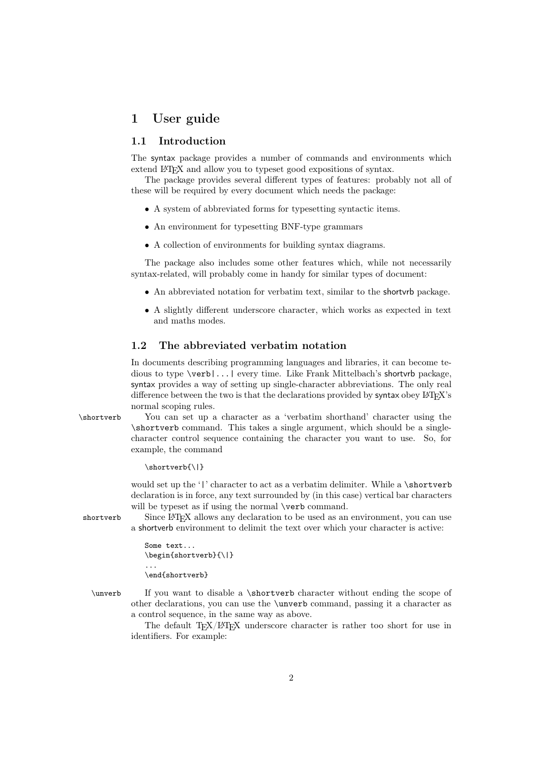# 1 User guide

#### 1.1 Introduction

The syntax package provides a number of commands and environments which extend LAT<sub>EX</sub> and allow you to typeset good expositions of syntax.

The package provides several different types of features: probably not all of these will be required by every document which needs the package:

- A system of abbreviated forms for typesetting syntactic items.
- An environment for typesetting BNF-type grammars
- A collection of environments for building syntax diagrams.

The package also includes some other features which, while not necessarily syntax-related, will probably come in handy for similar types of document:

- An abbreviated notation for verbatim text, similar to the shortvrb package.
- A slightly different underscore character, which works as expected in text and maths modes.

#### 1.2 The abbreviated verbatim notation

In documents describing programming languages and libraries, it can become tedious to type \verb|...| every time. Like Frank Mittelbach's shortvrb package, syntax provides a way of setting up single-character abbreviations. The only real difference between the two is that the declarations provided by syntax obey  $\mathbb{B}T\mathbb{R}X$ 's normal scoping rules.

\shortverb You can set up a character as a 'verbatim shorthand' character using the \shortverb command. This takes a single argument, which should be a singlecharacter control sequence containing the character you want to use. So, for example, the command

```
\shortverb{\|}
```
would set up the '|' character to act as a verbatim delimiter. While a \shortverb declaration is in force, any text surrounded by (in this case) vertical bar characters will be typeset as if using the normal **\verb** command.

shortverb Since L<sup>AT</sup>EX allows any declaration to be used as an environment, you can use a shortverb environment to delimit the text over which your character is active:

```
Some text...
\begin{shortverb}{\|}
...
\end{shortverb}
```
\unverb If you want to disable a \shortverb character without ending the scope of other declarations, you can use the \unverb command, passing it a character as a control sequence, in the same way as above.

> The default T<sub>EX</sub>/L<sup>AT</sup>EX underscore character is rather too short for use in identifiers. For example: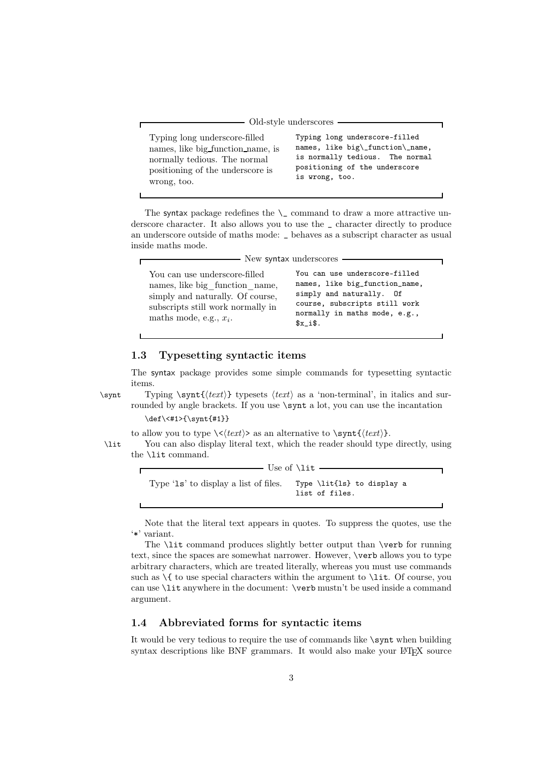|                                   | $Old-style$ underscores $-$      |
|-----------------------------------|----------------------------------|
| Typing long underscore-filled     | Typing long underscore-filled    |
| names, like big function name, is | names, like big\_function\_name, |
| normally tedious. The normal      | is normally tedious. The normal  |
| positioning of the underscore is  | positioning of the underscore    |
| wrong, too.                       | is wrong, too.                   |

The syntax package redefines the  $\angle$  command to draw a more attractive underscore character. It also allows you to use the \_ character directly to produce an underscore outside of maths mode: \_ behaves as a subscript character as usual inside maths mode.

|                                                                                                                                                                       | — New syntax underscores —                                                                                                                                               |
|-----------------------------------------------------------------------------------------------------------------------------------------------------------------------|--------------------------------------------------------------------------------------------------------------------------------------------------------------------------|
| You can use underscore-filled<br>names, like big function name,<br>simply and naturally. Of course,<br>subscripts still work normally in<br>maths mode, e.g., $x_i$ . | You can use underscore-filled<br>names, like big_function_name,<br>simply and naturally. Of<br>course, subscripts still work<br>normally in maths mode, e.g.,<br>$x$ is. |
|                                                                                                                                                                       |                                                                                                                                                                          |

#### 1.3 Typesetting syntactic items

The syntax package provides some simple commands for typesetting syntactic items.

Ē

\synt Typing \synt{*(text*)} typesets *(text)* as a 'non-terminal', in italics and surrounded by angle brackets. If you use  $\sqrt{\sqrt{2}}$  a lot, you can use the incantation \def\<#1>{\synt{#1}}

to allow you to type  $\langle \langle \text{text} \rangle \rangle$  as an alternative to  $\sqrt{\sqrt{text}}$ .

\lit You can also display literal text, which the reader should type directly, using the \lit command.

> $-$  Use of  $\lit -$ Type 'ls' to display a list of files. Type \lit{ls} to display a list of files.

Note that the literal text appears in quotes. To suppress the quotes, use the '\*' variant.

The **\lit** command produces slightly better output than **\verb** for running text, since the spaces are somewhat narrower. However, \verb allows you to type arbitrary characters, which are treated literally, whereas you must use commands such as  $\setminus \{$  to use special characters within the argument to  $\setminus$  lit. Of course, you can use \lit anywhere in the document: \verb mustn't be used inside a command argument.

#### 1.4 Abbreviated forms for syntactic items

It would be very tedious to require the use of commands like \synt when building syntax descriptions like BNF grammars. It would also make your  $B^T F X$  source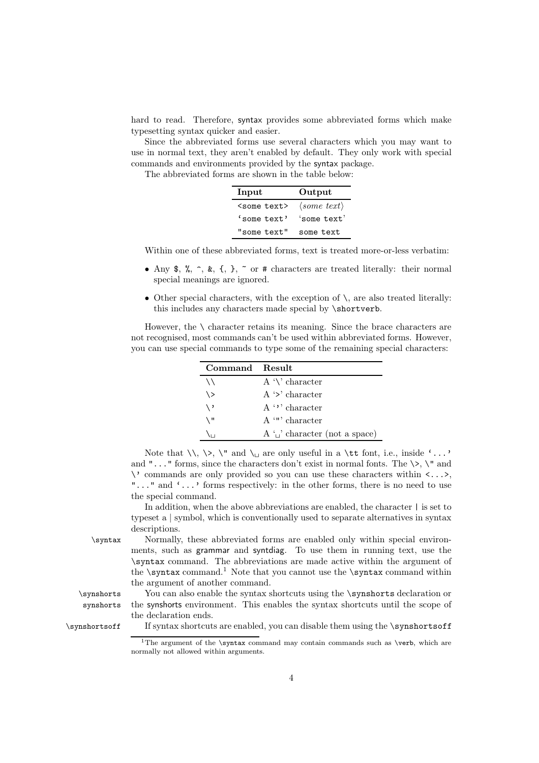hard to read. Therefore, syntax provides some abbreviated forms which make typesetting syntax quicker and easier.

Since the abbreviated forms use several characters which you may want to use in normal text, they aren't enabled by default. They only work with special commands and environments provided by the syntax package.

The abbreviated forms are shown in the table below:

| Input                 | Output                         |
|-----------------------|--------------------------------|
| <some text=""></some> | $\langle some \; text \rangle$ |
| 'some text'           | $'some$ text'                  |
| "some text"           | some text                      |

Within one of these abbreviated forms, text is treated more-or-less verbatim:

- Any  $\frac{1}{2}$ ,  $\frac{2}{3}$ ,  $\frac{2}{3}$ ,  $\frac{1}{2}$ ,  $\frac{1}{2}$ ,  $\frac{1}{2}$  or # characters are treated literally: their normal special meanings are ignored.
- Other special characters, with the exception of  $\lambda$ , are also treated literally: this includes any characters made special by \shortverb.

However, the  $\setminus$  character retains its meaning. Since the brace characters are not recognised, most commands can't be used within abbreviated forms. However, you can use special commands to type some of the remaining special characters:

| Command Result    |                                    |
|-------------------|------------------------------------|
| $\setminus$       | A $\vee$ character                 |
| $\langle \rangle$ | $A \geq$ character                 |
| ∖,                | $A^{\prime}$ dentancter            |
| ۱۱ \              | $A$ $''$ character                 |
|                   | A $\omega$ character (not a space) |

Note that  $\setminus, \setminus, \setminus'$  and  $\setminus \square$  are only useful in a  $\setminus$ tt font, i.e., inside '...' and " $\dots$ " forms, since the characters don't exist in normal fonts. The  $\>$ ,  $\'$  and \' commands are only provided so you can use these characters within <...>, "..." and '...' forms respectively: in the other forms, there is no need to use the special command.

In addition, when the above abbreviations are enabled, the character  $\vert$  is set to typeset a | symbol, which is conventionally used to separate alternatives in syntax descriptions.

\syntax Normally, these abbreviated forms are enabled only within special environments, such as grammar and syntdiag. To use them in running text, use the \syntax command. The abbreviations are made active within the argument of the  $\sqrt{\sqrt{1 - \cdot \cdot \cdot^2}}$  Note that you cannot use the  $\sqrt{\cdot \cdot \cdot^2}$ the argument of another command.

\synshorts You can also enable the syntax shortcuts using the \synshorts declaration or synshorts the synshorts environment. This enables the syntax shortcuts until the scope of the declaration ends.

\synshortsoff If syntax shortcuts are enabled, you can disable them using the \synshortsoff

<sup>&</sup>lt;sup>1</sup>The argument of the \syntax command may contain commands such as \verb, which are normally not allowed within arguments.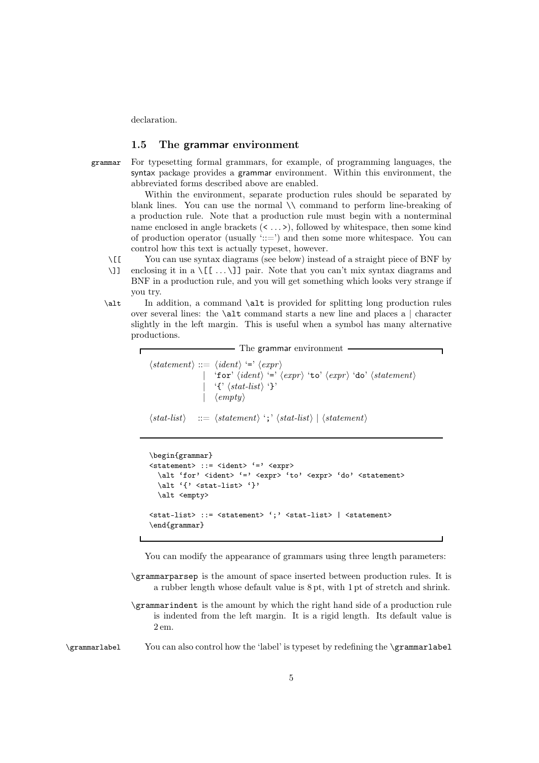declaration.

#### 1.5 The grammar environment

grammar For typesetting formal grammars, for example, of programming languages, the syntax package provides a grammar environment. Within this environment, the abbreviated forms described above are enabled.

> Within the environment, separate production rules should be separated by blank lines. You can use the normal \\ command to perform line-breaking of a production rule. Note that a production rule must begin with a nonterminal name enclosed in angle brackets (< ... >), followed by whitespace, then some kind of production operator (usually  $\cdot ::= \cdot$ ) and then some more whitespace. You can control how this text is actually typeset, however.

\[[ You can use syntax diagrams (see below) instead of a straight piece of BNF by

\]] enclosing it in a \[[ ... \]] pair. Note that you can't mix syntax diagrams and BNF in a production rule, and you will get something which looks very strange if you try.

\alt In addition, a command \alt is provided for splitting long production rules over several lines: the  $\lambda$ lt command starts a new line and places a | character slightly in the left margin. This is useful when a symbol has many alternative productions.

> - The grammar environment  $\langle statement \rangle ::= \langle ident \rangle \stackrel{\cdot}{\equiv} \langle expr \rangle$  $|$  'for'  $\langle ident \rangle$ '='  $\langle expr \rangle$  'to'  $\langle expr \rangle$  'do'  $\langle statement \rangle$ | '{'  $\langle$ *stat-list* $\rangle$ '}' | *empty*

```
\langle stat\text{-}list\rangle ::= \langle statement\rangle ';' \langle stat\text{-}list\rangle | \langle statement\rangle
```

```
\begin{grammar}
\text{5} <statement> ::= \text{6} \\timediat> \text{6} \timediat> \text{6} \timediat>
  \alt 'for' <ident> '=' <expr> 'to' <expr> 'do' <statement>
  \alt '{' <stat-list> '}'
  \alt <empty>
<stat-list> ::= <statement> ';' <stat-list> | <statement>
\end{grammar}
```
You can modify the appearance of grammars using three length parameters:

- \grammarparsep is the amount of space inserted between production rules. It is a rubber length whose default value is 8 pt, with 1 pt of stretch and shrink.
- \grammarindent is the amount by which the right hand side of a production rule is indented from the left margin. It is a rigid length. Its default value is 2 em.

\grammarlabel You can also control how the 'label' is typeset by redefining the \grammarlabel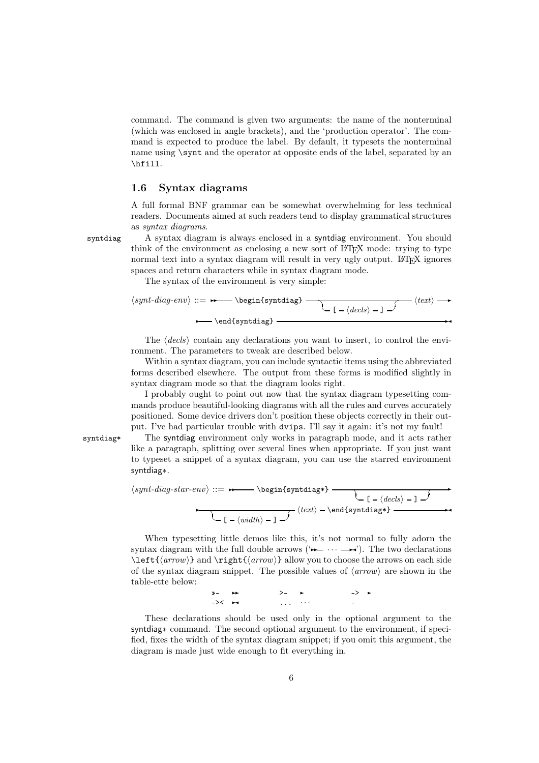command. The command is given two arguments: the name of the nonterminal (which was enclosed in angle brackets), and the 'production operator'. The command is expected to produce the label. By default, it typesets the nonterminal name using \synt and the operator at opposite ends of the label, separated by an \hfill.

#### 1.6 Syntax diagrams

A full formal BNF grammar can be somewhat overwhelming for less technical readers. Documents aimed at such readers tend to display grammatical structures as *syntax diagrams*.

syntdiag A syntax diagram is always enclosed in a syntdiag environment. You should think of the environment as enclosing a new sort of LAT<sub>EX</sub> mode: trying to type normal text into a syntax diagram will result in very ugly output. LATEX ignores spaces and return characters while in syntax diagram mode.

The syntax of the environment is very simple:

$$
\langle \mathit{synt-diag-env} \rangle ::= \longrightarrow \begin{array}{c} \\ \hline \\ \hline \\ \hline \\ \hline \\ \hline \end{array} \longrightarrow \begin{array}{c} \\ \hline \\ \hline \\ \hline \\ \hline \\ \hline \\ \hline \end{array} \longrightarrow \begin{array}{c} \langle \mathit{text} \rangle \longrightarrow \\ \hline \\ \hline \\ \hline \end{array} \longrightarrow \begin{array}{c} \langle \mathit{text} \rangle \longrightarrow \\ \hline \\ \hline \end{array}
$$

The *decls* contain any declarations you want to insert, to control the environment. The parameters to tweak are described below.

Within a syntax diagram, you can include syntactic items using the abbreviated forms described elsewhere. The output from these forms is modified slightly in syntax diagram mode so that the diagram looks right.

I probably ought to point out now that the syntax diagram typesetting commands produce beautiful-looking diagrams with all the rules and curves accurately positioned. Some device drivers don't position these objects correctly in their output. I've had particular trouble with dvips. I'll say it again: it's not my fault!

syntdiag\* The syntdiag environment only works in paragraph mode, and it acts rather like a paragraph, splitting over several lines when appropriate. If you just want to typeset a snippet of a syntax diagram, you can use the starred environment syntdiag∗.

$$
\langle \textit{synt-diag-star-env} ::= \rightarrow \begin{tikzip} \setminus \textit{begin} \setminus \textit{text} \end{tikzip} \setminus \begin{tikzip} \setminus \textit{text} \setminus \textit{text} \end{tikzip} \setminus \begin{tikzip} \setlength{\fbox{\texttt{map}} \setlength{\fbox{\texttt{map}}} \setlength{\fbox{\texttt{map}}} \end{tikzip} \setlength{\fbox{\texttt{map}}} \setlength{\fbox{\texttt{map}}} \setlength{\fbox{\texttt{map}}} \setlength{\fbox{\texttt{map}}} \setlength{\fbox{\texttt{map}}} \setlength{\fbox{\texttt{map}}} \setlength{\fbox{\texttt{map}}} \setlength{\fbox{\texttt{map}}} \setlength{\fbox{\texttt{map}}} \setlength{\fbox{\texttt{map}}} \setlength{\fbox{\texttt{map}}} \setlength{\fbox{\texttt{map}}} \setlength{\fbox{\texttt{map}}} \setlength{\fbox{\texttt{map}}} \setlength{\fbox{\texttt{map}}} \setlength{\fbox{\texttt{map}}} \setlength{\fbox{\texttt{map}}} \setlength{\fbox{\texttt{map}}} \setlength{\fbox{\texttt{map}}} \setlength{\fbox{\texttt{map}}} \setlength{\fbox{\texttt{map}}} \setlength{\fbox{\texttt{map}}} \setlength{\fbox{\texttt{map}}} \setlength{\fbox{\texttt{map}}} \setlength{\fbox{\texttt{map}}} \setlength{\fbox{\texttt{map}}} \setlength{\fbox{\texttt{map}}} \setlength{\fbox{\texttt{map}}} \setlength{\fbox{\texttt{map}}} \setlength{\fbox{\texttt{map}}} \setlength{\fbox{\texttt{map}}} \setlength{\fbox{\texttt{map}}} \setlength{\fbox{\texttt{map}}} \setlength{\fbox{\texttt{map}}} \setlength{\fbox{\texttt{map}}} \setlength{\fbox{\texttt{map}}} \setlength{\fbox{\texttt{map}}} \setlength{\fbox{\texttt{map}}} \setlength{\fbox{\texttt{map}}} \setlength{\fbox{\texttt{map}}} \setlength{\fbox{\texttt{map}}} \setlength{\fbox{\texttt{map}}} \setlength{\fbox{\texttt{map}}} \setlength{\fbox{\texttt{map}}} \setlength{\fbox{\texttt{map}}} \setlength{\fbox{\texttt{map}}} \setlength{\fbox{\texttt{map}}} \setlength{\fbox{\texttt{map}}} \setlength{\fbox{\texttt{map}}} \setlength{\fbox{\texttt{map}}} \setlength{\fbox{\texttt{map}}} \setlength{\f
$$

When typesetting little demos like this, it's not normal to fully adorn the syntax diagram with the full double arrows ( $\rightarrow \rightarrow \rightarrow \rightarrow$ ). The two declarations \left{*arrow*} and \right{*arrow*} allow you to choose the arrows on each side of the syntax diagram snippet. The possible values of  $\langle arrow \rangle$  are shown in the table-ette below:

> $>$   $\rightarrow$   $\rightarrow$   $\rightarrow$   $\rightarrow$  $\rightarrow$   $\leftarrow$   $\rightarrow$   $\rightarrow$   $\cdot$   $\cdot$   $\cdot$   $\cdot$   $\cdot$   $\cdot$   $\cdot$

These declarations should be used only in the optional argument to the syntdiag∗ command. The second optional argument to the environment, if specified, fixes the width of the syntax diagram snippet; if you omit this argument, the diagram is made just wide enough to fit everything in.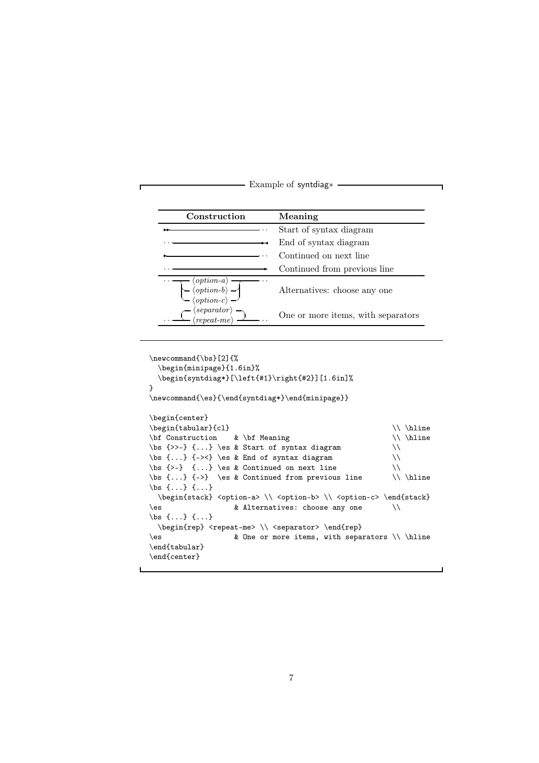

```
\newcommand{\bs}[2]{%
 \begin{minipage}{1.6in}%
 \begin{syntdiag*}[\left{#1}\right{#2}][1.6in]%
}
\verb|\newcommand{{\es}{\end{symtdiag*}\end{minipage}|\begin{center}
\begin{array}{c}\n\begin{array}{c}\n\end{array}\bf Construction & \bf Meaning \\ \hline
\bs \{\gg\} {...} \es & Start of syntax diagram \\
\bs \{... \} {-><} \es & End of syntax diagram \setminus\bs \{-\} \{... \} \es & Continued on next line \setminus\bs \{... \} {->} \es & Continued from previous line \setminus \\ \hline
\bs {...} {...}
 \begin{stack} <option-a> \\ <option-b> \\ <option-c> \end{stack}
\es & Alternatives: choose any one \\
\bs {...} {...}
 \begin{rep} <repeat-me> \\ <separator> \end{rep}
\es 					 & One or more items, with separators \\ \hline
\end{tabular}
\end{center}
```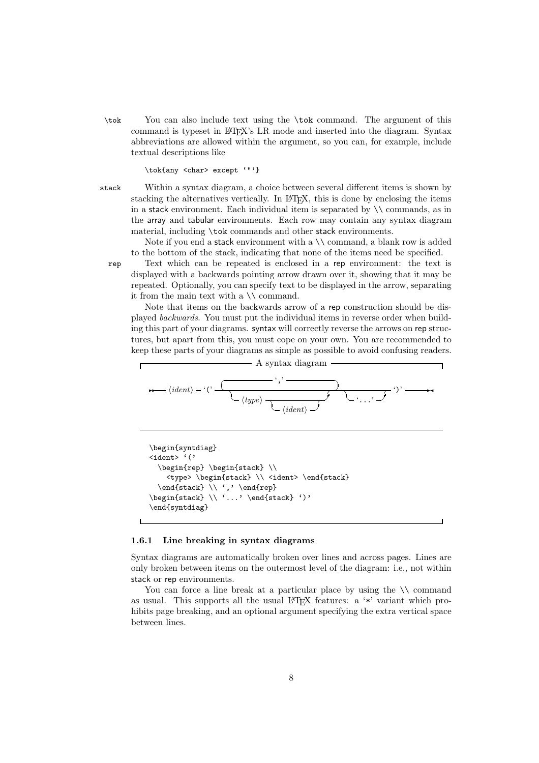\tok You can also include text using the \tok command. The argument of this command is typeset in LATEX's LR mode and inserted into the diagram. Syntax abbreviations are allowed within the argument, so you can, for example, include textual descriptions like

\tok{any <char> except '"'}

stack Within a syntax diagram, a choice between several different items is shown by stacking the alternatives vertically. In LATEX, this is done by enclosing the items in a stack environment. Each individual item is separated by \\ commands, as in the array and tabular environments. Each row may contain any syntax diagram material, including \tok commands and other stack environments.

Note if you end a stack environment with a \\ command, a blank row is added to the bottom of the stack, indicating that none of the items need be specified.

rep Text which can be repeated is enclosed in a rep environment: the text is displayed with a backwards pointing arrow drawn over it, showing that it may be repeated. Optionally, you can specify text to be displayed in the arrow, separating it from the main text with a  $\backslash\backslash$  command.

Note that items on the backwards arrow of a rep construction should be displayed *backwards*. You must put the individual items in reverse order when building this part of your diagrams. syntax will correctly reverse the arrows on rep structures, but apart from this, you must cope on your own. You are recommended to keep these parts of your diagrams as simple as possible to avoid confusing readers.

A syntax diagram\n
$$
(ident) - (c \t(type) \t(type) \t(ident) \t(if the right)
$$

```
\begin{syntdiag}
<ident> '('
 \begin{rep} \begin{stack} \\
   <type> \begin{stack} \\ <ident> \end{stack}
 \end{step}\begin{stack} \\ '...' \end{stack} ')'
\end{syntdiag}
```
#### 1.6.1 Line breaking in syntax diagrams

Syntax diagrams are automatically broken over lines and across pages. Lines are only broken between items on the outermost level of the diagram: i.e., not within stack or rep environments.

You can force a line break at a particular place by using the  $\setminus \mathcal{E}$  command as usual. This supports all the usual  $\mathbb{F}T\rightarrow\mathbb{F}X$  features: a '\*' variant which prohibits page breaking, and an optional argument specifying the extra vertical space between lines.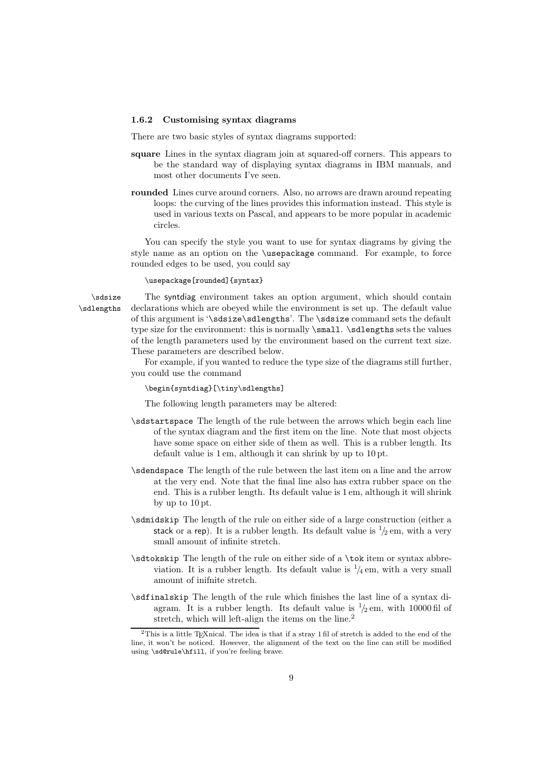#### 1.6.2 Customising syntax diagrams

There are two basic styles of syntax diagrams supported:

- square Lines in the syntax diagram join at squared-off corners. This appears to be the standard way of displaying syntax diagrams in IBM manuals, and most other documents I've seen.
- rounded Lines curve around corners. Also, no arrows are drawn around repeating loops: the curving of the lines provides this information instead. This style is used in various texts on Pascal, and appears to be more popular in academic circles.

You can specify the style you want to use for syntax diagrams by giving the style name as an option on the \usepackage command. For example, to force rounded edges to be used, you could say

\usepackage[rounded]{syntax}

\sdsize The syntdiag environment takes an option argument, which should contain \sdlengths declarations which are obeyed while the environment is set up. The default value of this argument is '\sdsize\sdlengths'. The \sdsize command sets the default type size for the environment: this is normally  $\sigma$  leadsh  $\sigma$  sets the values of the length parameters used by the environment based on the current text size. These parameters are described below.

> For example, if you wanted to reduce the type size of the diagrams still further, you could use the command

\begin{syntdiag}[\tiny\sdlengths]

The following length parameters may be altered:

- \sdstartspace The length of the rule between the arrows which begin each line of the syntax diagram and the first item on the line. Note that most objects have some space on either side of them as well. This is a rubber length. Its default value is 1 em, although it can shrink by up to 10 pt.
- \sdendspace The length of the rule between the last item on a line and the arrow at the very end. Note that the final line also has extra rubber space on the end. This is a rubber length. Its default value is 1 em, although it will shrink by up to 10 pt.
- \sdmidskip The length of the rule on either side of a large construction (either a stack or a rep). It is a rubber length. Its default value is  $\frac{1}{2}$  em, with a very small amount of infinite stretch.
- \sdtokskip The length of the rule on either side of a \tok item or syntax abbreviation. It is a rubber length. Its default value is  $\frac{1}{4}$  em, with a very small amount of inifnite stretch.
- \sdfinalskip The length of the rule which finishes the last line of a syntax diagram. It is a rubber length. Its default value is  $\frac{1}{2}$  em, with 10000 fil of stretch, which will left-align the items on the line.<sup>2</sup>

 $^{2}$ This is a little T<sub>E</sub>Xnical. The idea is that if a stray 1 fil of stretch is added to the end of the line, it won't be noticed. However, the alignment of the text on the line can still be modified using \sd@rule\hfill, if you're feeling brave.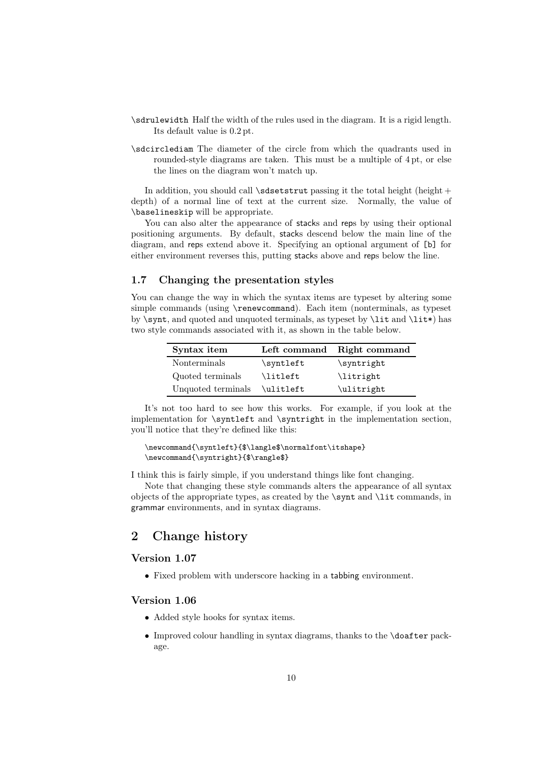- \sdrulewidth Half the width of the rules used in the diagram. It is a rigid length. Its default value is 0.2 pt.
- \sdcirclediam The diameter of the circle from which the quadrants used in rounded-style diagrams are taken. This must be a multiple of 4 pt, or else the lines on the diagram won't match up.

In addition, you should call  $\s$ dsetstrut passing it the total height (height + depth) of a normal line of text at the current size. Normally, the value of \baselineskip will be appropriate.

You can also alter the appearance of stacks and reps by using their optional positioning arguments. By default, stacks descend below the main line of the diagram, and reps extend above it. Specifying an optional argument of [b] for either environment reverses this, putting stacks above and reps below the line.

#### 1.7 Changing the presentation styles

You can change the way in which the syntax items are typeset by altering some simple commands (using \renewcommand). Each item (nonterminals, as typeset by  $\sqrt{s}$  and quoted and unquoted terminals, as typeset by  $\lit$  and  $\lit$  has two style commands associated with it, as shown in the table below.

| Syntax item        |                   | Left command Right command |
|--------------------|-------------------|----------------------------|
| Nonterminals       | $\sqrt{\sqrt{2}}$ | \syntright                 |
| Quoted terminals   | \litleft          | \litright                  |
| Unquoted terminals | \ulitleft         | \ulitright                 |

It's not too hard to see how this works. For example, if you look at the implementation for \syntleft and \syntright in the implementation section, you'll notice that they're defined like this:

#### \newcommand{\syntleft}{\$\langle\$\normalfont\itshape} \newcommand{\syntright}{\$\rangle\$}

I think this is fairly simple, if you understand things like font changing.

Note that changing these style commands alters the appearance of all syntax objects of the appropriate types, as created by the \synt and \lit commands, in grammar environments, and in syntax diagrams.

# 2 Change history

#### Version 1.07

• Fixed problem with underscore hacking in a tabbing environment.

#### Version 1.06

- Added style hooks for syntax items.
- Improved colour handling in syntax diagrams, thanks to the \doafter package.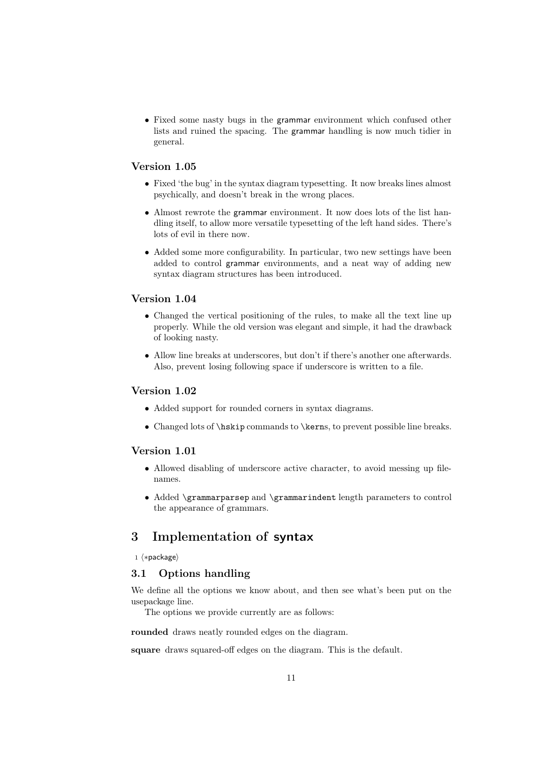• Fixed some nasty bugs in the grammar environment which confused other lists and ruined the spacing. The grammar handling is now much tidier in general.

#### Version 1.05

- Fixed 'the bug' in the syntax diagram typesetting. It now breaks lines almost psychically, and doesn't break in the wrong places.
- Almost rewrote the grammar environment. It now does lots of the list handling itself, to allow more versatile typesetting of the left hand sides. There's lots of evil in there now.
- Added some more configurability. In particular, two new settings have been added to control grammar environments, and a neat way of adding new syntax diagram structures has been introduced.

#### Version 1.04

- Changed the vertical positioning of the rules, to make all the text line up properly. While the old version was elegant and simple, it had the drawback of looking nasty.
- Allow line breaks at underscores, but don't if there's another one afterwards. Also, prevent losing following space if underscore is written to a file.

#### Version 1.02

- Added support for rounded corners in syntax diagrams.
- Changed lots of \hskip commands to \kerns, to prevent possible line breaks.

#### Version 1.01

- Allowed disabling of underscore active character, to avoid messing up filenames.
- Added \grammarparsep and \grammarindent length parameters to control the appearance of grammars.

# 3 Implementation of syntax

 $1 \langle * \text{package} \rangle$ 

### 3.1 Options handling

We define all the options we know about, and then see what's been put on the usepackage line.

The options we provide currently are as follows:

rounded draws neatly rounded edges on the diagram.

square draws squared-off edges on the diagram. This is the default.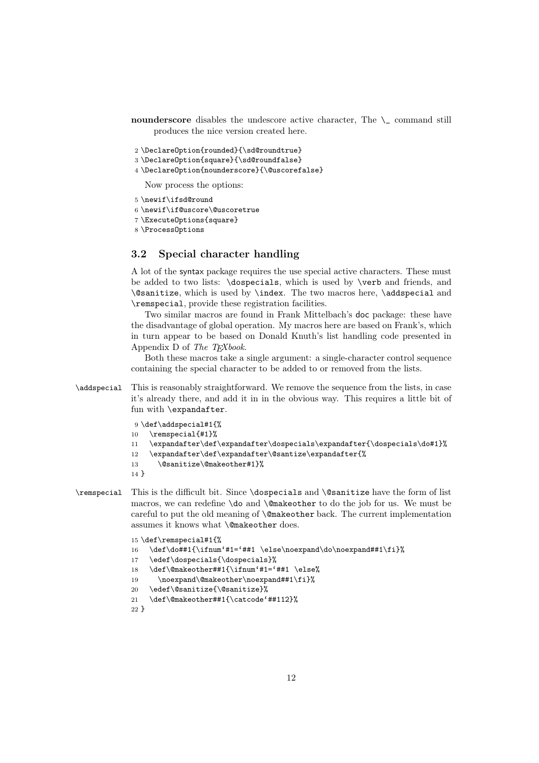- nounderscore disables the undescore active character, The  $\setminus$  command still produces the nice version created here.
- 2 \DeclareOption{rounded}{\sd@roundtrue}
- 3 \DeclareOption{square}{\sd@roundfalse}
- 4 \DeclareOption{nounderscore}{\@uscorefalse}

Now process the options:

- 5 \newif\ifsd@round
- 6 \newif\if@uscore\@uscoretrue
- 7 \ExecuteOptions{square}
- 8 \ProcessOptions

#### 3.2 Special character handling

A lot of the syntax package requires the use special active characters. These must be added to two lists: \dospecials, which is used by \verb and friends, and \@sanitize, which is used by \index. The two macros here, \addspecial and \remspecial, provide these registration facilities.

Two similar macros are found in Frank Mittelbach's doc package: these have the disadvantage of global operation. My macros here are based on Frank's, which in turn appear to be based on Donald Knuth's list handling code presented in Appendix D of *The TEXbook*.

Both these macros take a single argument: a single-character control sequence containing the special character to be added to or removed from the lists.

\addspecial This is reasonably straightforward. We remove the sequence from the lists, in case it's already there, and add it in in the obvious way. This requires a little bit of fun with \expandafter.

```
9 \def\addspecial#1{%
```
- 10 \remspecial{#1}%
- 11 \expandafter\def\expandafter\dospecials\expandafter{\dospecials\do#1}%
- 12 \expandafter\def\expandafter\@santize\expandafter{%
- 13 \@sanitize\@makeother#1}%
- 14 }
- \remspecial This is the difficult bit. Since \dospecials and \@sanitize have the form of list macros, we can redefine \do and \@makeother to do the job for us. We must be careful to put the old meaning of \@makeother back. The current implementation assumes it knows what \@makeother does.

```
15 \def\remspecial#1{%
16 \def\do##1{\ifnum'#1='##1 \else\noexpand\do\noexpand##1\fi}%
17 \edef\dospecials{\dospecials}%
18 \def\@makeother##1{\ifnum'#1='##1 \else%
19 \noexpand\@makeother\noexpand##1\fi}%
20 \edef\@sanitize{\@sanitize}%
21 \def\@makeother##1{\catcode'##112}%
22 }
```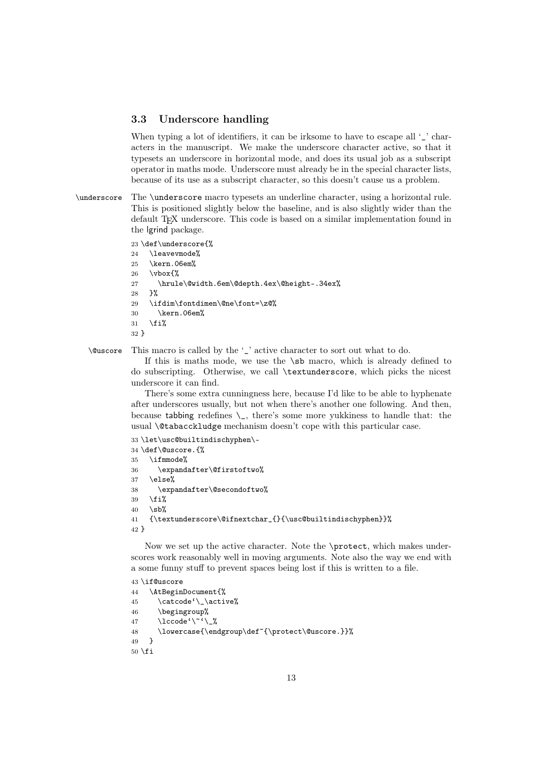#### 3.3 Underscore handling

When typing a lot of identifiers, it can be irksome to have to escape all  $\mathcal{L}'$  characters in the manuscript. We make the underscore character active, so that it typesets an underscore in horizontal mode, and does its usual job as a subscript operator in maths mode. Underscore must already be in the special character lists, because of its use as a subscript character, so this doesn't cause us a problem.

\underscore The \underscore macro typesets an underline character, using a horizontal rule. This is positioned slightly below the baseline, and is also slightly wider than the default TEX underscore. This code is based on a similar implementation found in the lgrind package.

23 \def\underscore{%

24 \leavevmode% 25 \kern.06em%  $26 \text{ Vvbox}$ 27 \hrule\@width.6em\@depth.4ex\@height-.34ex% 28 }% 29 \ifdim\fontdimen\@ne\font=\z@% 30 \kern.06em%  $31 \quad \text{if } \mathcal{U}$ 32 }

\@uscore This macro is called by the '\_' active character to sort out what to do.

If this is maths mode, we use the \sb macro, which is already defined to do subscripting. Otherwise, we call \textunderscore, which picks the nicest underscore it can find.

There's some extra cunningness here, because I'd like to be able to hyphenate after underscores usually, but not when there's another one following. And then, because tabbing redefines  $\setminus$ , there's some more yukkiness to handle that: the usual \@tabacckludge mechanism doesn't cope with this particular case.

33 \let\usc@builtindischyphen\- 34 \def\@uscore.{%

 \ifmmode% \expandafter\@firstoftwo% 37 \else% \expandafter\@secondoftwo%  $\forall$ fi%  $40 \quad \text{kb}$ % {\textunderscore\@ifnextchar\_{}{\usc@builtindischyphen}}% 42 }

Now we set up the active character. Note the \protect, which makes underscores work reasonably well in moving arguments. Note also the way we end with a some funny stuff to prevent spaces being lost if this is written to a file.

 \if@uscore \AtBeginDocument{% \catcode'\\_\active% \begingroup% 47 \lccode'\~'\\_% \lowercase{\endgroup\def~{\protect\@uscore.}}% 49 }  $50 \setminus fi$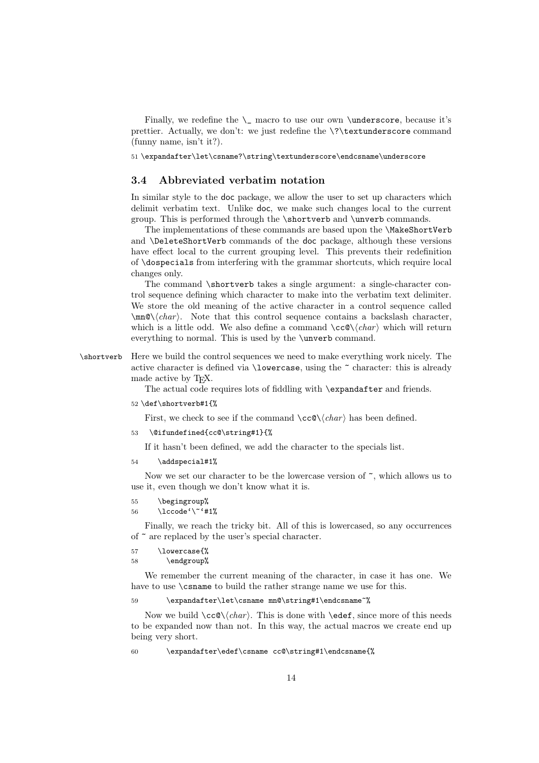Finally, we redefine the  $\_\$  macro to use our own  $\$ underscore, because it's prettier. Actually, we don't: we just redefine the \?\textunderscore command (funny name, isn't it?).

51 \expandafter\let\csname?\string\textunderscore\endcsname\underscore

#### 3.4 Abbreviated verbatim notation

In similar style to the doc package, we allow the user to set up characters which delimit verbatim text. Unlike doc, we make such changes local to the current group. This is performed through the \shortverb and \unverb commands.

The implementations of these commands are based upon the \MakeShortVerb and \DeleteShortVerb commands of the doc package, although these versions have effect local to the current grouping level. This prevents their redefinition of \dospecials from interfering with the grammar shortcuts, which require local changes only.

The command \shortverb takes a single argument: a single-character control sequence defining which character to make into the verbatim text delimiter. We store the old meaning of the active character in a control sequence called  $\mathrm{Q}(char)$ . Note that this control sequence contains a backslash character, which is a little odd. We also define a command \cc@\*char* which will return everything to normal. This is used by the \unverb command.

\shortverb Here we build the control sequences we need to make everything work nicely. The active character is defined via \lowercase, using the ~ character: this is already made active by T<sub>E</sub>X.

The actual code requires lots of fiddling with **\expandafter** and friends.

52 \def\shortverb#1{%

First, we check to see if the command  $\ccos(\char'(\char'cchar)$  has been defined.

53 \@ifundefined{cc@\string#1}{%

If it hasn't been defined, we add the character to the specials list.

54 \addspecial#1%

Now we set our character to be the lowercase version of  $\tilde{\phantom{a}}$ , which allows us to use it, even though we don't know what it is.

- 55 \begingroup%
- 56 \lccode'\~'#1%

Finally, we reach the tricky bit. All of this is lowercased, so any occurrences of ~ are replaced by the user's special character.

57 \lowercase{%

```
58 \endgroup%
```
We remember the current meaning of the character, in case it has one. We have to use  $\cos$  to build the rather strange name we use for this.

59 \expandafter\let\csname mn@\string#1\endcsname~%

Now we build  $\ccos(\char'$ . This is done with  $\edef$ , since more of this needs to be expanded now than not. In this way, the actual macros we create end up being very short.

60 \expandafter\edef\csname cc@\string#1\endcsname{%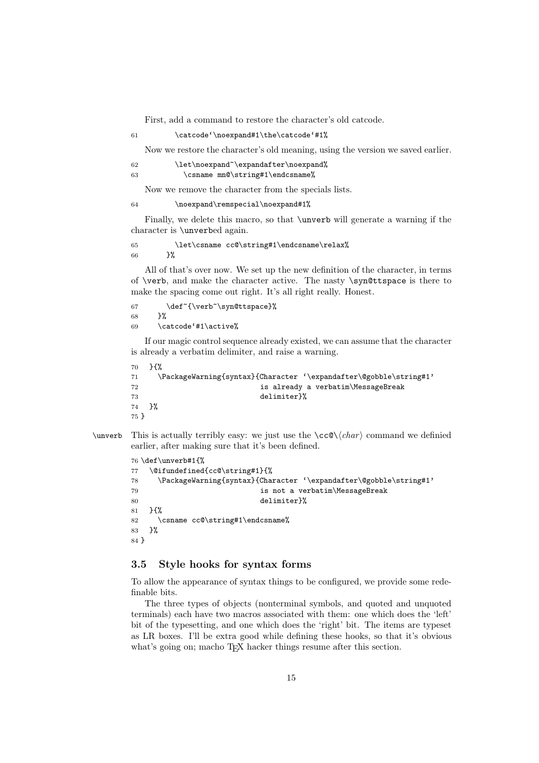First, add a command to restore the character's old catcode.

#### 61 \catcode'\noexpand#1\the\catcode'#1%

Now we restore the character's old meaning, using the version we saved earlier.

#### 62 \let\noexpand~\expandafter\noexpand%

```
63 \csname mn@\string#1\endcsname%
```
Now we remove the character from the specials lists.

#### 64 \noexpand\remspecial\noexpand#1%

Finally, we delete this macro, so that \unverb will generate a warning if the character is \unverbed again.

65 \let\csname cc@\string#1\endcsname\relax% 66 }%

All of that's over now. We set up the new definition of the character, in terms of \verb, and make the character active. The nasty \syn@ttspace is there to make the spacing come out right. It's all right really. Honest.

```
67 \def<sup>~{\</sup>verb<sup>~</sup>\syn@ttspace}%
68 }%
69 \catcode'#1\active%
```
If our magic control sequence already existed, we can assume that the character is already a verbatim delimiter, and raise a warning.

```
70 }{%
71 \PackageWarning{syntax}{Character '\expandafter\@gobble\string#1'
72 is already a verbatim\MessageBreak
73 delimiter}%
74 }%
75 }
```
\unverb This is actually terribly easy: we just use the  $\ccos(\char'$  command we definied earlier, after making sure that it's been defined.

```
76 \def\unverb#1{%
77 \@ifundefined{cc@\string#1}{%
78 \PackageWarning{syntax}{Character '\expandafter\@gobble\string#1'
79 is not a verbatim\MessageBreak
80 delimiter}%
81 }{%
82 \csname cc@\string#1\endcsname%
83 }%
84 }
```
### 3.5 Style hooks for syntax forms

To allow the appearance of syntax things to be configured, we provide some redefinable bits.

The three types of objects (nonterminal symbols, and quoted and unquoted terminals) each have two macros associated with them: one which does the 'left' bit of the typesetting, and one which does the 'right' bit. The items are typeset as LR boxes. I'll be extra good while defining these hooks, so that it's obvious what's going on; macho T<sub>E</sub>X hacker things resume after this section.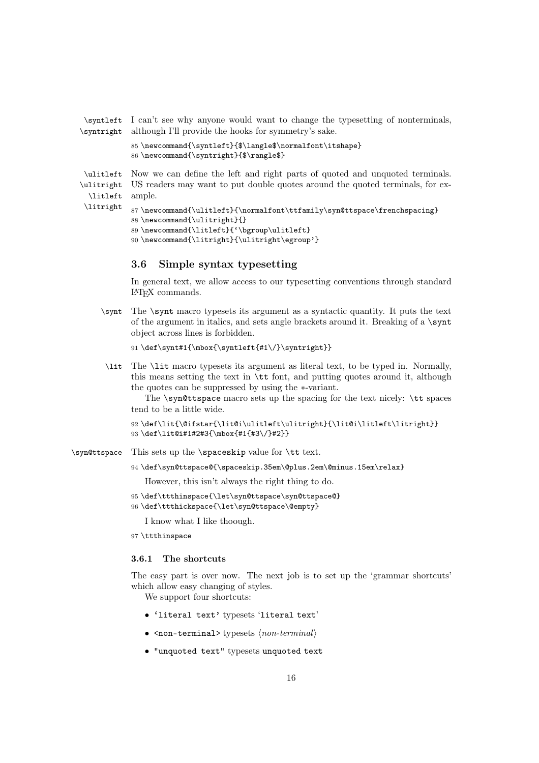\syntleft I can't see why anyone would want to change the typesetting of nonterminals, \syntright although I'll provide the hooks for symmetry's sake.

```
85 \newcommand{\syntleft}{$\langle$\normalfont\itshape}
86 \newcommand{\syntright}{$\rangle$}
```
\ulitleft Now we can define the left and right parts of quoted and unquoted terminals. \ulitright US readers may want to put double quotes around the quoted terminals, for ex-\litleft ample.

```
\litright
           87 \newcommand{\ulitleft}{\normalfont\ttfamily\syn@ttspace\frenchspacing}
           88 \newcommand{\ulitright}{}
           89 \newcommand{\litleft}{'\bgroup\ulitleft}
           90 \newcommand{\litright}{\ulitright\egroup'}
```
#### 3.6 Simple syntax typesetting

In general text, we allow access to our typesetting conventions through standard LATEX commands.

\synt The \synt macro typesets its argument as a syntactic quantity. It puts the text of the argument in italics, and sets angle brackets around it. Breaking of a \synt object across lines is forbidden.

```
91\def\synt#1{\mbox{\syntleft{#1\/}\syntright}}
```
\lit The \lit macro typesets its argument as literal text, to be typed in. Normally, this means setting the text in \tt font, and putting quotes around it, although the quotes can be suppressed by using the ∗-variant.

The \syn@ttspace macro sets up the spacing for the text nicely: \tt spaces tend to be a little wide.

```
92 \def\lit{\@ifstar{\lit@i\ulitleft\ulitright}{\lit@i\litleft\litright}}
93 \def\lit@i#1#2#3{\mbox{#1{#3\/}#2}}
```
\syn@ttspace This sets up the \spaceskip value for \tt text.

94 \def\syn@ttspace@{\spaceskip.35em\@plus.2em\@minus.15em\relax}

However, this isn't always the right thing to do.

95 \def\ttthinspace{\let\syn@ttspace\syn@ttspace@}

96 \def\ttthickspace{\let\syn@ttspace\@empty}

I know what I like thoough.

97 \ttthinspace

#### 3.6.1 The shortcuts

The easy part is over now. The next job is to set up the 'grammar shortcuts' which allow easy changing of styles.

We support four shortcuts:

- 'literal text' typesets 'literal text'
- $\leq$  non-terminal> typesets  $\langle$  *non-terminal* $\rangle$
- "unquoted text" typesets unquoted text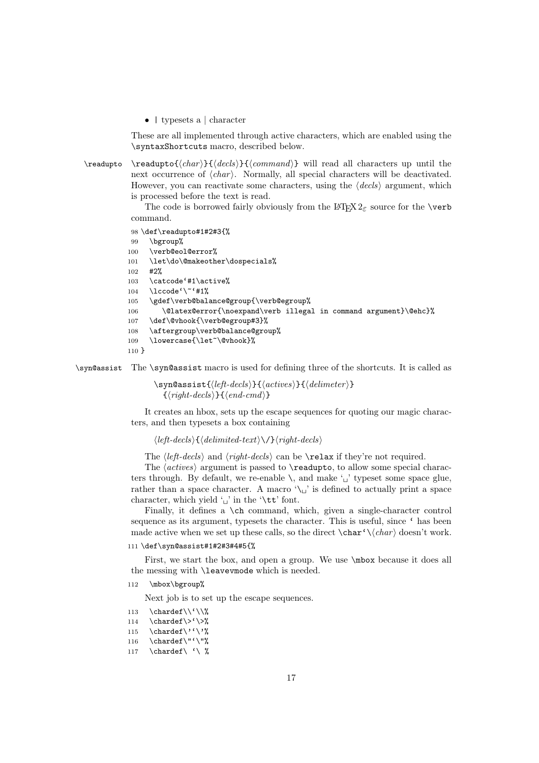• | typesets a | character

These are all implemented through active characters, which are enabled using the \syntaxShortcuts macro, described below.

\readupto \readupto{*char* }{*decls*}{*command*} will read all characters up until the next occurrence of  $\langle char \rangle$ . Normally, all special characters will be deactivated. However, you can reactivate some characters, using the  $\langle decls \rangle$  argument, which is processed before the text is read.

> The code is borrowed fairly obviously from the LAT<sub>E</sub>X  $2\varepsilon$  source for the \verb command.

```
98 \def\readupto#1#2#3{%
99 \bgroup%
100 \verb@eol@error%
101 \let\do\@makeother\dospecials%
102 #2%
103 \catcode'#1\active%
104 \lccode'\~'#1%
105 \gdef\verb@balance@group{\verb@egroup%
106 \@latex@error{\noexpand\verb illegal in command argument}\@ehc}%
107 \def\@vhook{\verb@egroup#3}%
108 \aftergroup\verb@balance@group%
109 \lowercase{\let~\@vhook}%
110 }
```
\syn@assist The \syn@assist macro is used for defining three of the shortcuts. It is called as

\syn@assist{*left-decls*}{*actives*}{*delimeter* }  $\{\langle right-decls\rangle\}\{\langle end-cmd\rangle\}$ 

It creates an hbox, sets up the escape sequences for quoting our magic characters, and then typesets a box containing

 $\langle left-decls \rangle$  $\{ \langle delimited-text \rangle \rangle / \}$  $\langle right-decls \rangle$ 

The *(left-decls)* and *(right-decls)* can be **\relax** if they're not required.

The  $\langle \text{actives} \rangle$  argument is passed to  $\text{readupto}$ , to allow some special characters through. By default, we re-enable  $\setminus$ , and make  $\setminus \setminus$  typeset some space glue, rather than a space character. A macro  $\setminus \_$  is defined to actually print a space character, which yield  $\omega'$  in the  $\text{tot}$ .

Finally, it defines a \ch command, which, given a single-character control sequence as its argument, typesets the character. This is useful, since ' has been made active when we set up these calls, so the direct  $\char`$   $\char`$  doesn't work.

#### 111 \def\syn@assist#1#2#3#4#5{%

First, we start the box, and open a group. We use \mbox because it does all the messing with \leavevmode which is needed.

112 \mbox\bgroup%

Next job is to set up the escape sequences.

- 113 \chardef\\'\\%
- 114 \chardef\ $>$ '\ $>$ %

```
115 \chardef\''\'%
```

```
116 \quad \text{chardef}\"'\"%
```
117 \chardef\ '\  $\%$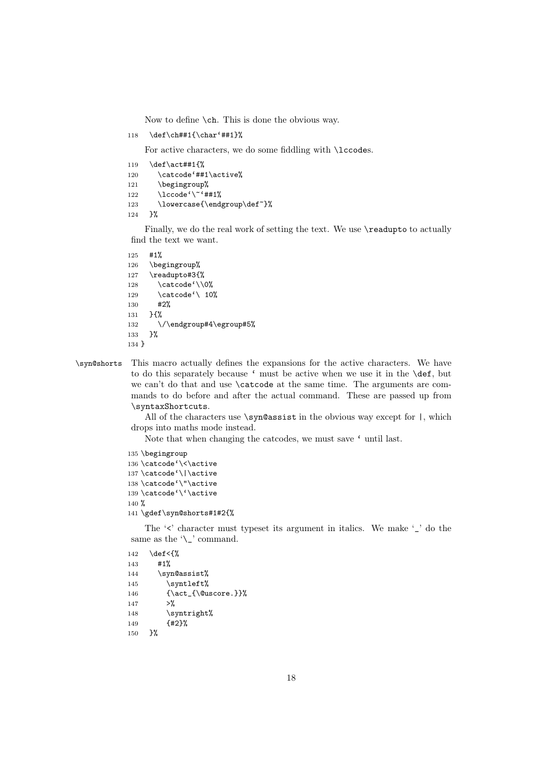Now to define \ch. This is done the obvious way.

118 \def\ch##1{\char'##1}%

For active characters, we do some fiddling with **\lccodes**.

```
119 \def\act##1{%
120 \catcode'##1\active%
121 \begingroup%
122 \lccode'\~'##1%
123 \lowercase{\endgroup\def~}%
124 }%
```
Finally, we do the real work of setting the text. We use **\readupto** to actually find the text we want.

```
125 #1%
126 \begingroup%
127 \readupto#3{%
128 \catcode'\\0%
129 \catcode<sup>'</sup>\ 10%
130 #2%
131 }{%
132 \/\endgroup#4\egroup#5%
133 }%
134 }
```
\syn@shorts This macro actually defines the expansions for the active characters. We have to do this separately because ' must be active when we use it in the \def, but we can't do that and use \catcode at the same time. The arguments are commands to do before and after the actual command. These are passed up from \syntaxShortcuts.

> All of the characters use  $\sigma$  is the obvious way except for  $\vert$ , which drops into maths mode instead.

Note that when changing the catcodes, we must save ' until last.

```
135 \begingroup
136 \catcode'\<\active
137 \catcode'\|\active
138 \catcode'\"\active
139 \catcode'\'\active
140 %
141 \gdef\syn@shorts#1#2{%
```
The  $\leq$  character must typeset its argument in italics. We make  $\leq$  do the same as the '\\_' command.

```
142 \def <{%
143 #1%
144 \syn@assist%
145 \syntleft%
146 {\act_{\@uscore.}}%
147 >%
148 \syntright%
149 {#2}%
150 }%
```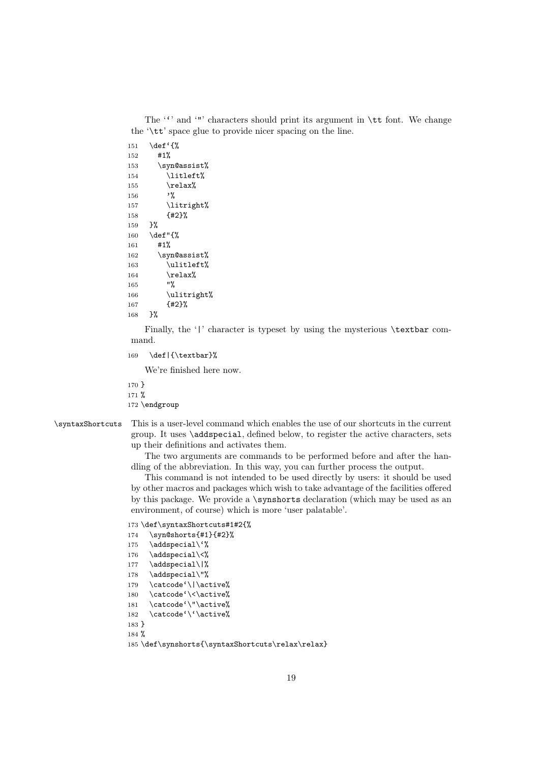The  $\lq\lq$  and  $\lq\lq$  characters should print its argument in  $\lq$ tt font. We change the '\tt' space glue to provide nicer spacing on the line.

```
151 \def'{%
152 #1%
153 \syn@assist%
154 \litleft%
155 \relax%
156 '%
157 \litright%
158 {#2}%
159 }%
160 \def"{%
161 #1%
162 \syn@assist%
163 \ulitleft%
164 \relax\%165 "%
166 \ulitright%
167 {#2}%
168 }%
```
Finally, the '|' character is typeset by using the mysterious \textbar command.

```
169 \def|{\textbar}%
```
We're finished here now.

170 } 171 % 172 \endgroup

\syntaxShortcuts This is a user-level command which enables the use of our shortcuts in the current group. It uses \addspecial, defined below, to register the active characters, sets up their definitions and activates them.

> The two arguments are commands to be performed before and after the handling of the abbreviation. In this way, you can further process the output.

> This command is not intended to be used directly by users: it should be used by other macros and packages which wish to take advantage of the facilities offered by this package. We provide a \synshorts declaration (which may be used as an environment, of course) which is more 'user palatable'.

```
173 \def\syntaxShortcuts#1#2{%
174 \syn@shorts{#1}{#2}%
175 \addspecial\'%
176 \addspecial\<%
177 \addspecial\|%
178 \addspecial\"%
179 \catcode'\|\active%
180 \catcode'\<\active%
181 \catcode'\"\active%
182 \catcode'\'\active%
183 }
184 %
185 \def\synshorts{\syntaxShortcuts\relax\relax}
```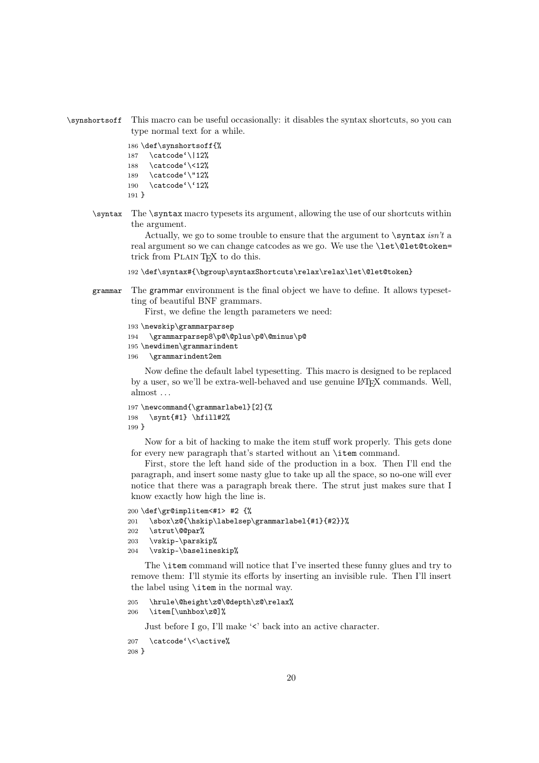\synshortsoff This macro can be useful occasionally: it disables the syntax shortcuts, so you can type normal text for a while.

```
186 \def\synshortsoff{%
187 \catcode'\|12%
188 \catcode'\<12%
189 \catcode'\"12%
190 \catcode'\'12%
191 }
```
\syntax The \syntax macro typesets its argument, allowing the use of our shortcuts within the argument.

> Actually, we go to some trouble to ensure that the argument to \syntax *isn't* a real argument so we can change catcodes as we go. We use the **\let\@let@token=** trick from PLAIN T<sub>E</sub>X to do this.

- 192 \def\syntax#{\bgroup\syntaxShortcuts\relax\relax\let\@let@token}
- grammar The grammar environment is the final object we have to define. It allows typesetting of beautiful BNF grammars.

First, we define the length parameters we need:

```
193 \newskip\grammarparsep
194 \grammarparsep8\p@\@plus\p@\@minus\p@
195 \newdimen\grammarindent
196 \grammarindent2em
```
Now define the default label typesetting. This macro is designed to be replaced by a user, so we'll be extra-well-behaved and use genuine LAT<sub>EX</sub> commands. Well, almost . . .

```
197 \newcommand{\grammarlabel}[2]{%
198 \synt{#1} \hfill#2%
199 }
```
Now for a bit of hacking to make the item stuff work properly. This gets done for every new paragraph that's started without an \item command.

First, store the left hand side of the production in a box. Then I'll end the paragraph, and insert some nasty glue to take up all the space, so no-one will ever notice that there was a paragraph break there. The strut just makes sure that I know exactly how high the line is.

```
200 \def\gr@implitem<#1> #2 {%
201 \sbox\z@{\hskip\labelsep\grammarlabel{#1}{#2}}%
202 \strut\@@par%
203 \vskip-\parskip%
204 \vskip-\baselineskip%
```
The \item command will notice that I've inserted these funny glues and try to remove them: I'll stymie its efforts by inserting an invisible rule. Then I'll insert the label using \item in the normal way.

```
205 \hrule\@height\z@\@depth\z@\relax%
206 \item[\unhbox\z@]%
```
Just before I go, I'll make '<' back into an active character.

```
207 \catcode'\<\active%
208 }
```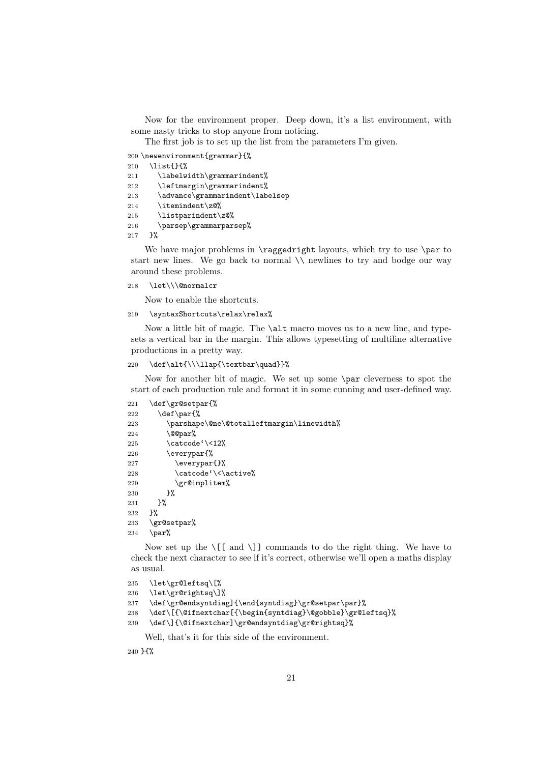Now for the environment proper. Deep down, it's a list environment, with some nasty tricks to stop anyone from noticing.

The first job is to set up the list from the parameters I'm given.

209 \newenvironment{grammar}{%

```
210 \list{}{%
```
- 211 \labelwidth\grammarindent%
- 212 \leftmargin\grammarindent%
- 213 \advance\grammarindent\labelsep
- 214 \itemindent\z@%
- 215 \listparindent\z@%
- 216 \parsep\grammarparsep%
- 217 }%

We have major problems in **\raggedright** layouts, which try to use **\par** to start new lines. We go back to normal \\ newlines to try and bodge our way around these problems.

218 \let\\\@normalcr

Now to enable the shortcuts.

#### 219 \syntaxShortcuts\relax\relax%

Now a little bit of magic. The \alt macro moves us to a new line, and typesets a vertical bar in the margin. This allows typesetting of multiline alternative productions in a pretty way.

#### 220 \def\alt{\\\llap{\textbar\quad}}%

Now for another bit of magic. We set up some \par cleverness to spot the start of each production rule and format it in some cunning and user-defined way.

```
221 \def\gr@setpar{%
222 \det\part\223 \parshape\@ne\@totalleftmargin\linewidth%
224 \qquad \qquad \qquad \text{00par\%}225 \catcode' \langle 12\%226 \everypar{%
227 \everypar{}%
228 \catcode'\<\active%
229 \gr@implitem%
230 }%
231 }%
232 }%
233 \gr@setpar%
234 \par%
```
Now set up the  $\lfloor \lceil \mod \setminus \rceil \rfloor$  commands to do the right thing. We have to check the next character to see if it's correct, otherwise we'll open a maths display as usual.

```
235 \let\gr@leftsq\[%
```

```
236 \let\gr@rightsq\]%
```
237 \def\gr@endsyntdiag]{\end{syntdiag}\gr@setpar\par}%

```
238 \def\[{\@ifnextchar[{\begin{syntdiag}\@gobble}\gr@leftsq}%
```

```
239 \def\]{\@ifnextchar]\gr@endsyntdiag\gr@rightsq}%
```
Well, that's it for this side of the environment.

240 }{%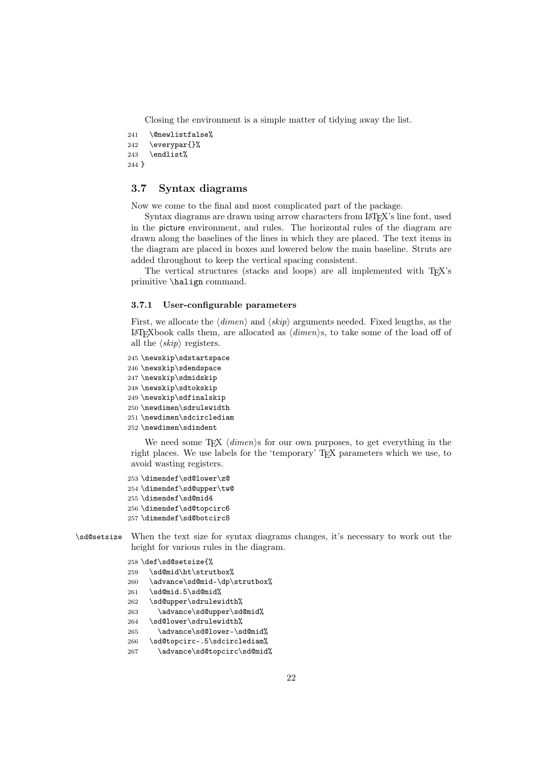Closing the environment is a simple matter of tidying away the list.

```
241 \@newlistfalse%
242 \everypar{}%
243 \endlist%
244 }
```
#### 3.7 Syntax diagrams

Now we come to the final and most complicated part of the package.

Syntax diagrams are drawn using arrow characters from LATEX's line font, used in the picture environment, and rules. The horizontal rules of the diagram are drawn along the baselines of the lines in which they are placed. The text items in the diagram are placed in boxes and lowered below the main baseline. Struts are added throughout to keep the vertical spacing consistent.

The vertical structures (stacks and loops) are all implemented with T<sub>E</sub>X's primitive \halign command.

#### 3.7.1 User-configurable parameters

First, we allocate the  $\langle \text{dimen} \rangle$  and  $\langle \text{skip} \rangle$  arguments needed. Fixed lengths, as the  $\Delta F$ FXbook calls them, are allocated as  $\langle$  *dimen* $\rangle$ s, to take some of the load off of all the  $\langle skip \rangle$  registers.

```
245 \newskip\sdstartspace
246 \newskip\sdendspace
247 \newskip\sdmidskip
248 \newskip\sdtokskip
249 \newskip\sdfinalskip
250 \newdimen\sdrulewidth
251 \newdimen\sdcirclediam
252 \newdimen\sdindent
```
We need some  $Tr X \langle dimen \rangle$  for our own purposes, to get everything in the right places. We use labels for the 'temporary' TEX parameters which we use, to avoid wasting registers.

```
253 \dimendef\sd@lower\z@
254 \dimendef\sd@upper\tw@
255 \dimendef\sd@mid4
256 \dimendef\sd@topcirc6
257 \dimendef\sd@botcirc8
```
\sd@setsize When the text size for syntax diagrams changes, it's necessary to work out the height for various rules in the diagram.

```
258 \def\sd@setsize{%
259 \sd@mid\ht\strutbox%
260 \advance\sd@mid-\dp\strutbox%
261 \sd@mid.5\sd@mid%
262 \sd@upper\sdrulewidth%
263 \advance\sd@upper\sd@mid%
264 \sd@lower\sdrulewidth%
265 \advance\sd@lower-\sd@mid%
266 \sd@topcirc-.5\sdcirclediam%
267 \advance\sd@topcirc\sd@mid%
```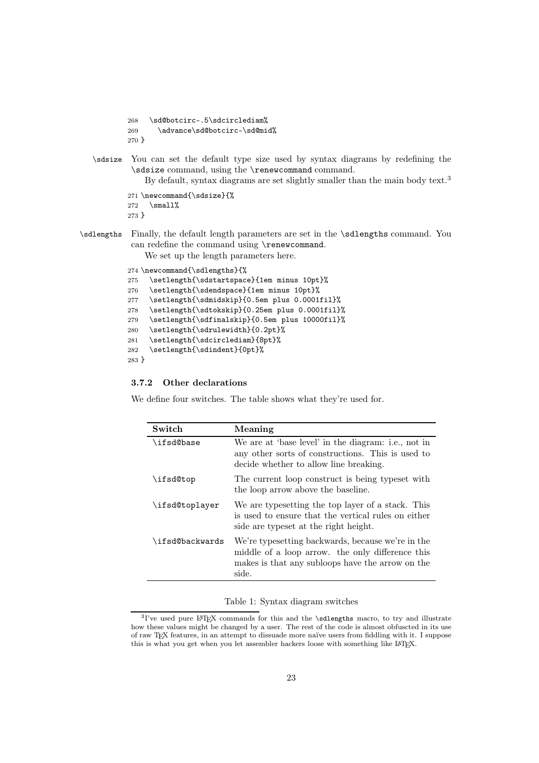```
268 \sd@botcirc-.5\sdcirclediam%
269 \advance\sd@botcirc-\sd@mid%
270 }
```
\sdsize You can set the default type size used by syntax diagrams by redefining the \sdsize command, using the \renewcommand command.

By default, syntax diagrams are set slightly smaller than the main body text.<sup>3</sup>

```
271 \newcommand{\sdsize}{%
272 \small%
273 }
```
\sdlengths Finally, the default length parameters are set in the \sdlengths command. You can redefine the command using \renewcommand.

We set up the length parameters here.

```
274 \newcommand{\sdlengths}{%
275 \setlength{\sdstartspace}{1em minus 10pt}%
276 \setlength{\sdendspace}{1em minus 10pt}%
277 \setlength{\sdmidskip}{0.5em plus 0.0001fil}%
278 \setlength{\sdtokskip}{0.25em plus 0.0001fil}%
279 \setlength{\sdfinalskip}{0.5em plus 10000fil}%
280 \setlength{\sdrulewidth}{0.2pt}%
281 \setlength{\sdcirclediam}{8pt}%
282 \setlength{\sdindent}{0pt}%
283 }
```
#### 3.7.2 Other declarations

We define four switches. The table shows what they're used for.

| Switch          | Meaning                                                                                                                                                            |
|-----------------|--------------------------------------------------------------------------------------------------------------------------------------------------------------------|
| \ifsd@base      | We are at 'base level' in the diagram: i.e., not in<br>any other sorts of constructions. This is used to<br>decide whether to allow line breaking.                 |
| \ifsd@top       | The current loop construct is being typeset with<br>the loop arrow above the baseline.                                                                             |
| \ifsd@toplayer  | We are typesetting the top layer of a stack. This<br>is used to ensure that the vertical rules on either<br>side are typeset at the right height.                  |
| \ifsd@backwards | We're typesetting backwards, because we're in the<br>middle of a loop arrow, the only difference this<br>makes is that any subloops have the arrow on the<br>side. |

#### Table 1: Syntax diagram switches

<sup>3</sup>I've used pure LATEX commands for this and the \sdlengths macro, to try and illustrate how these values might be changed by a user. The rest of the code is almost obfuscted in its use of raw TEX features, in an attempt to dissuade more naïve users from fiddling with it. I suppose this is what you get when you let assembler hackers loose with something like LATEX.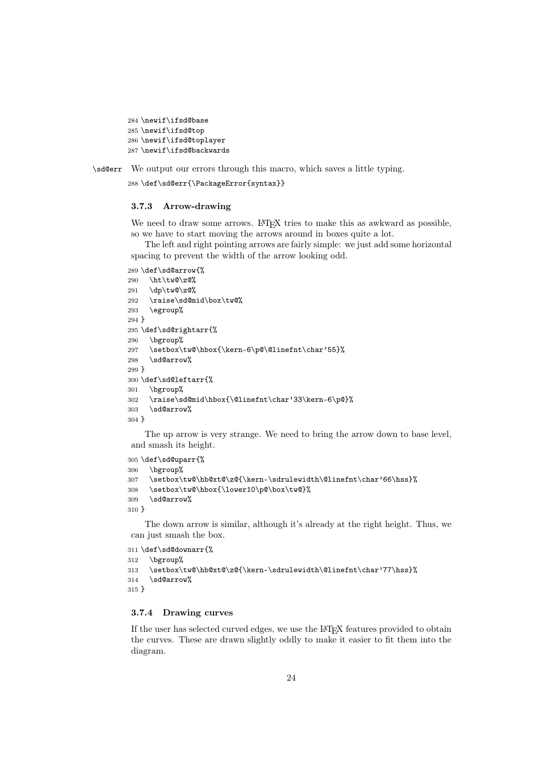```
284 \newif\ifsd@base
285 \newif\ifsd@top
286 \newif\ifsd@toplayer
287 \newif\ifsd@backwards
```
\sd@err We output our errors through this macro, which saves a little typing.

\def\sd@err{\PackageError{syntax}}

#### 3.7.3 Arrow-drawing

We need to draw some arrows. LATEX tries to make this as awkward as possible, so we have to start moving the arrows around in boxes quite a lot.

The left and right pointing arrows are fairly simple: we just add some horizontal spacing to prevent the width of the arrow looking odd.

```
289 \def\sd@arrow{%
290 \ht\tw@\z@%
291 \dp\tw@\z@%
292 \raise\sd@mid\box\tw@%
293 \egroup%
294 }
295 \def\sd@rightarr{%
296 \bgroup%
297 \setbox\tw@\hbox{\kern-6\p@\@linefnt\char'55}%
298 \sd@arrow%
299 }
300 \def\sd@leftarr{%
301 \bgroup%
302 \raise\sd@mid\hbox{\@linefnt\char'33\kern-6\p@}%
303 \sd@arrow%
304 }
```
The up arrow is very strange. We need to bring the arrow down to base level, and smash its height.

```
305 \def\sd@uparr{%
306 \bgroup%
307 \setbox\tw@\hb@xt@\z@{\kern-\sdrulewidth\@linefnt\char'66\hss}%
308 \setbox\tw@\hbox{\lower10\p@\box\tw@}%
309 \sd@arrow%
310 }
```
The down arrow is similar, although it's already at the right height. Thus, we can just smash the box.

```
311 \def\sd@downarr{%
312 \bgroup%
313 \setbox\tw@\hb@xt@\z@{\kern-\sdrulewidth\@linefnt\char'77\hss}%
314 \sd@arrow%
315 }
```
#### 3.7.4 Drawing curves

If the user has selected curved edges, we use the LATEX features provided to obtain the curves. These are drawn slightly oddly to make it easier to fit them into the diagram.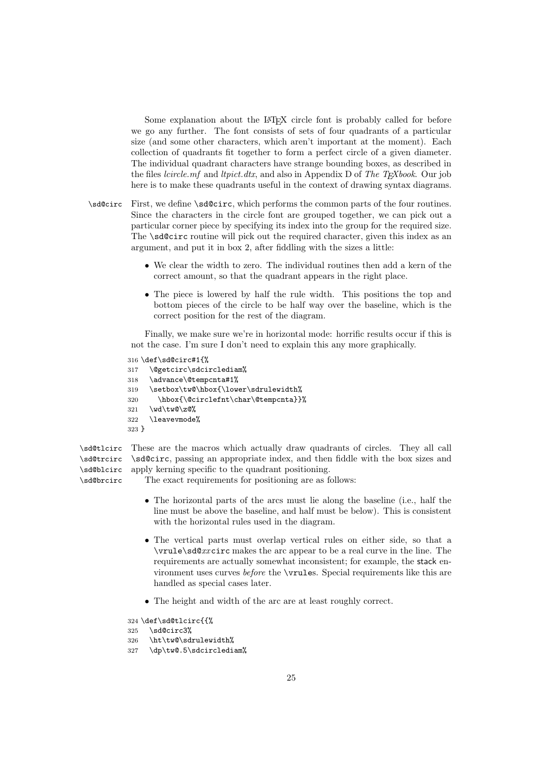Some explanation about the LAT<sub>EX</sub> circle font is probably called for before we go any further. The font consists of sets of four quadrants of a particular size (and some other characters, which aren't important at the moment). Each collection of quadrants fit together to form a perfect circle of a given diameter. The individual quadrant characters have strange bounding boxes, as described in the files *lcircle.mf* and *ltpict.dtx*, and also in Appendix D of *The TEXbook*. Our job here is to make these quadrants useful in the context of drawing syntax diagrams.

- \sd@circ First, we define \sd@circ, which performs the common parts of the four routines. Since the characters in the circle font are grouped together, we can pick out a particular corner piece by specifying its index into the group for the required size. The **\sd@circ** routine will pick out the required character, given this index as an argument, and put it in box 2, after fiddling with the sizes a little:
	- We clear the width to zero. The individual routines then add a kern of the correct amount, so that the quadrant appears in the right place.
	- The piece is lowered by half the rule width. This positions the top and bottom pieces of the circle to be half way over the baseline, which is the correct position for the rest of the diagram.

Finally, we make sure we're in horizontal mode: horrific results occur if this is not the case. I'm sure I don't need to explain this any more graphically.

```
316 \def\sd@circ#1{%
```

```
317 \@getcirc\sdcirclediam%
318 \advance\@tempcnta#1%
319 \setbox\tw@\hbox{\lower\sdrulewidth%
320 \hbox{\@circlefnt\char\@tempcnta}}%
321 \wd\tw@\z@%
322 \leavevmode%
323 }
```
\sd@tlcirc \sd@trcirc \sd@blcirc These are the macros which actually draw quadrants of circles. They all call \sd@circ, passing an appropriate index, and then fiddle with the box sizes and apply kerning specific to the quadrant positioning.

\sd@brcirc The exact requirements for positioning are as follows:

- The horizontal parts of the arcs must lie along the baseline (i.e., half the line must be above the baseline, and half must be below). This is consistent with the horizontal rules used in the diagram.
- The vertical parts must overlap vertical rules on either side, so that a \vrule\sd@*xx*circ makes the arc appear to be a real curve in the line. The requirements are actually somewhat inconsistent; for example, the stack environment uses curves *before* the \vrules. Special requirements like this are handled as special cases later.
- The height and width of the arc are at least roughly correct.

324 \def\sd@tlcirc{{%

```
325 \sd@circ3%
```

```
326 \ht\tw@\sdrulewidth%
```

```
327 \dp\tw@.5\sdcirclediam%
```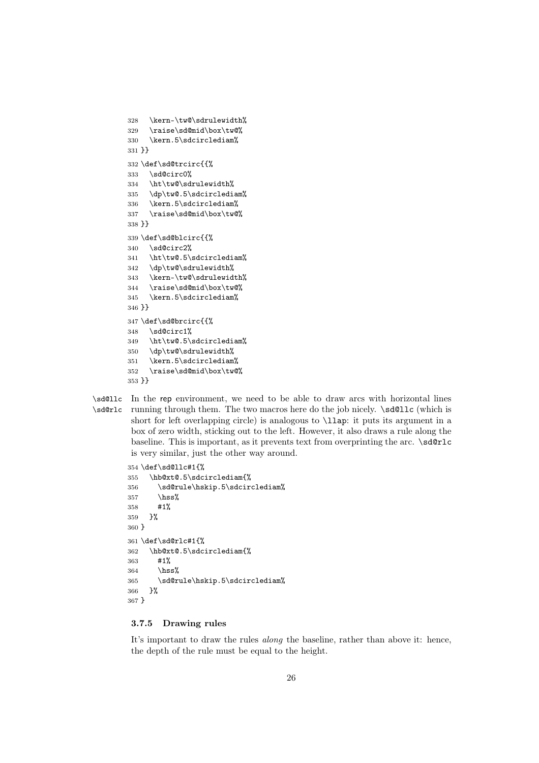```
328 \kern-\tw@\sdrulewidth%
329 \raise\sd@mid\box\tw@%
330 \kern.5\sdcirclediam%
331 }}
332 \def\sd@trcirc{{%
333 \sd@circ0%
334 \ht\tw@\sdrulewidth%
335 \dp\tw@.5\sdcirclediam%
336 \kern.5\sdcirclediam%
337 \raise\sd@mid\box\tw@%
338 }}
339 \def\sd@blcirc{{%
340 \text{ Nsd}@circ2\%341 \ht\tw@.5\sdcirclediam%
342 \dp\tw@\sdrulewidth%
343 \kern-\tw@\sdrulewidth%
344 \raise\sd@mid\box\tw@%
345 \kern.5\sdcirclediam%
346 }}
347 \def\sd@brcirc{{%
348 \sd@circ1%
349 \ht\tw@.5\sdcirclediam%
350 \dp\tw@\sdrulewidth%
351 \kern.5\sdcirclediam%
352 \raise\sd@mid\box\tw@%
353 }}
```
\sd@llc In the rep environment, we need to be able to draw arcs with horizontal lines \sd@rlc running through them. The two macros here do the job nicely. \sd@llc (which is short for left overlapping circle) is analogous to \llap: it puts its argument in a box of zero width, sticking out to the left. However, it also draws a rule along the baseline. This is important, as it prevents text from overprinting the arc.  $\sd$ **e**rlc is very similar, just the other way around.

```
354 \def\sd@llc#1{%
355 \hb@xt@.5\sdcirclediam{%
356 \sd@rule\hskip.5\sdcirclediam%
357 \hss%
358 #1%
359 }%
360 }
361 \def\sd@rlc#1{%
362 \hb@xt@.5\sdcirclediam{%
363 #1%
364 \hss%
365 \sd@rule\hskip.5\sdcirclediam%
366 }%
367 }
```
#### 3.7.5 Drawing rules

It's important to draw the rules *along* the baseline, rather than above it: hence, the depth of the rule must be equal to the height.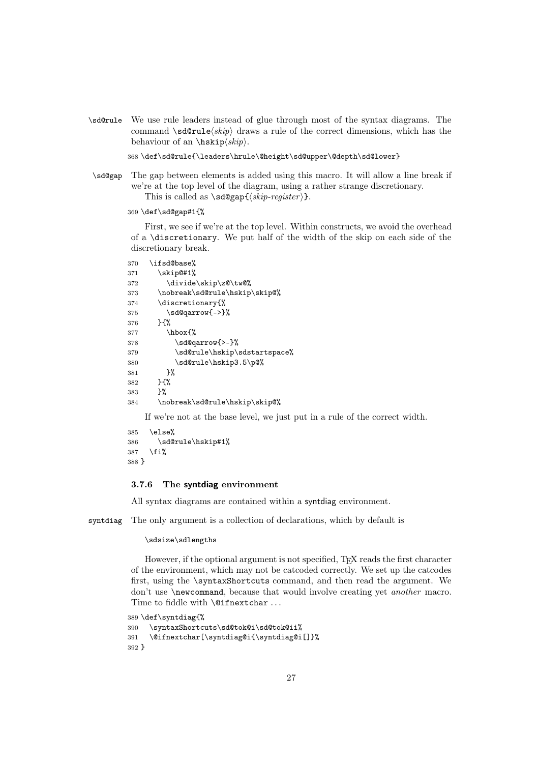\sd@rule We use rule leaders instead of glue through most of the syntax diagrams. The command  $\sd$ rule $\skip$  draws a rule of the correct dimensions, which has the behaviour of an  $\hbar$ skip $\langle skip \rangle$ .

368 \def\sd@rule{\leaders\hrule\@height\sd@upper\@depth\sd@lower}

\sd@gap The gap between elements is added using this macro. It will allow a line break if we're at the top level of the diagram, using a rather strange discretionary. This is called as  $\sd$ gap{ $\skip-register$  }.

369 \def\sd@gap#1{%

First, we see if we're at the top level. Within constructs, we avoid the overhead of a \discretionary. We put half of the width of the skip on each side of the discretionary break.

```
370 \ifsd@base%
371 \skip@#1%
372 \divide\skip\z@\tw@%
373 \nobreak\sd@rule\hskip\skip@%
374 \discretionary{%
375 \sd@qarrow{->}%
376 }{%
377 \hbox{%
378 \sd@qarrow{>-}%
379 \sd@rule\hskip\sdstartspace%
380 \sd@rule\hskip3.5\p@%
381 }%
382 }{%
383 }%
384 \nobreak\sd@rule\hskip\skip@%
```
If we're not at the base level, we just put in a rule of the correct width.

```
385 \else%
386 \sd@rule\hskip#1%
387 \fi%
388 }
```
#### 3.7.6 The syntdiag environment

All syntax diagrams are contained within a syntdiag environment.

syntdiag The only argument is a collection of declarations, which by default is

#### \sdsize\sdlengths

However, if the optional argument is not specified, T<sub>EX</sub> reads the first character of the environment, which may not be catcoded correctly. We set up the catcodes first, using the \syntaxShortcuts command, and then read the argument. We don't use \newcommand, because that would involve creating yet *another* macro. Time to fiddle with **\@ifnextchar** ...

```
389 \def\syntdiag{%
390 \syntaxShortcuts\sd@tok@i\sd@tok@ii%
391 \@ifnextchar[\syntdiag@i{\syntdiag@i[]}%
392 }
```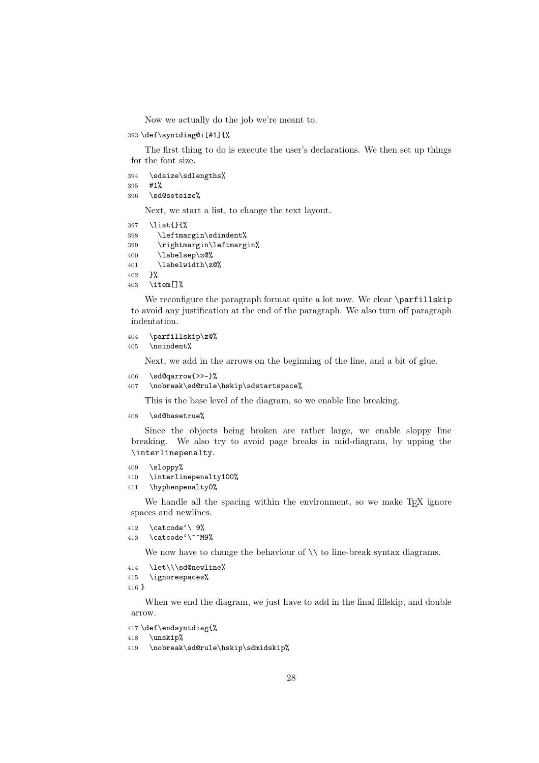Now we actually do the job we're meant to.

\def\syntdiag@i[#1]{%

The first thing to do is execute the user's declarations. We then set up things for the font size.

- \sdsize\sdlengths%
- #1%
- \sd@setsize%

Next, we start a list, to change the text layout.

```
397 \list{}{%
```

```
398 \leftmargin\sdindent%
```
- \rightmargin\leftmargin%
- \labelsep\z@%
- \labelwidth\z@%
- }%
- \item[]%

We reconfigure the paragraph format quite a lot now. We clear \parfillskip to avoid any justification at the end of the paragraph. We also turn off paragraph indentation.

```
404 \parfillskip\z@%
```

```
405 \noindent%
```
Next, we add in the arrows on the beginning of the line, and a bit of glue.

- \sd@qarrow{>>-}%
- \nobreak\sd@rule\hskip\sdstartspace%

This is the base level of the diagram, so we enable line breaking.

\sd@basetrue%

Since the objects being broken are rather large, we enable sloppy line breaking. We also try to avoid page breaks in mid-diagram, by upping the \interlinepenalty.

```
409 \sloppy%
```
- \interlinepenalty100% \hyphenpenalty0%
- 

We handle all the spacing within the environment, so we make  $T_F X$  ignore spaces and newlines.

```
412 \catcode'\ 9%
```
\catcode'\^^M9%

We now have to change the behaviour of  $\setminus \setminus$  to line-break syntax diagrams.

\let\\\sd@newline%

```
415 \ignorespaces%
```
}

When we end the diagram, we just have to add in the final fillskip, and double arrow.

```
417 \def\endsyntdiag{%
```

```
418 \unskip%
```

```
419 \nobreak\sd@rule\hskip\sdmidskip%
```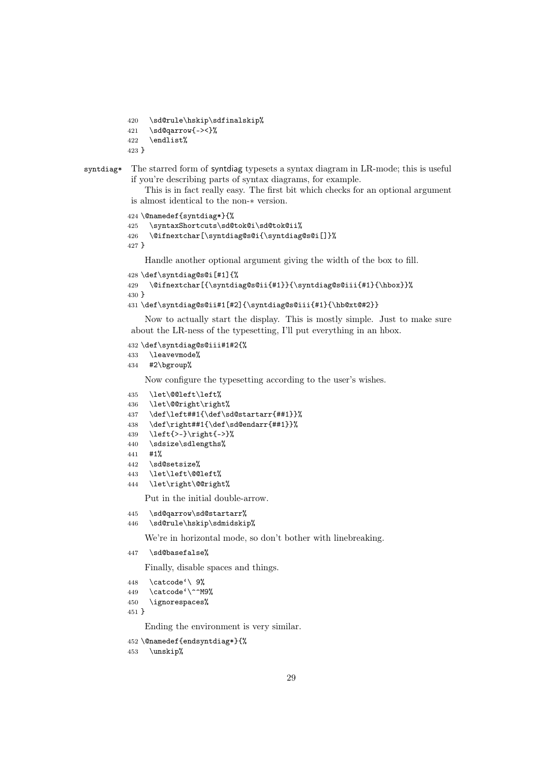```
420 \sd@rule\hskip\sdfinalskip%
421 \sd@qarrow{-><}%
422 \endlist%
423 }
```
#### syntdiag\* The starred form of syntdiag typesets a syntax diagram in LR-mode; this is useful if you're describing parts of syntax diagrams, for example.

This is in fact really easy. The first bit which checks for an optional argument is almost identical to the non-∗ version.

```
424 \@namedef{syntdiag*}{%
425 \syntaxShortcuts\sd@tok@i\sd@tok@ii%
426 \@ifnextchar[\syntdiag@s@i{\syntdiag@s@i[]}%
427 }
```
Handle another optional argument giving the width of the box to fill.

```
428 \def\syntdiag@s@i[#1]{%
429 \@ifnextchar[{\syntdiag@s@ii{#1}}{\syntdiag@s@iii{#1}{\hbox}}%
430 }
431 \def\syntdiag@s@ii#1[#2]{\syntdiag@s@iii{#1}{\hb@xt@#2}}
```
Now to actually start the display. This is mostly simple. Just to make sure about the LR-ness of the typesetting, I'll put everything in an hbox.

```
432 \def\syntdiag@s@iii#1#2{%
```

```
433 \leavevmode%
```
#2\bgroup%

Now configure the typesetting according to the user's wishes.

```
435 \let\@@left\left%
```

```
436 \let\@@right\right%
```
- \def\left##1{\def\sd@startarr{##1}}%
- \def\right##1{\def\sd@endarr{##1}}%

```
439 \left{>-}\right{->}%
```
- \sdsize\sdlengths%
- #1%
- \sd@setsize%
- \let\left\@@left%
- \let\right\@@right%

Put in the initial double-arrow.

```
445 \sd@qarrow\sd@startarr%
```

```
446 \sd@rule\hskip\sdmidskip%
```
We're in horizontal mode, so don't bother with linebreaking.

\sd@basefalse%

Finally, disable spaces and things.

```
448 \catcode'\ 9%
```

```
449 \catcode'\^^M9%
```

```
450 \ignorespaces%
```

```
451 }
```
Ending the environment is very similar.

```
452 \@namedef{endsyntdiag*}{%
```

```
453 \unskip%
```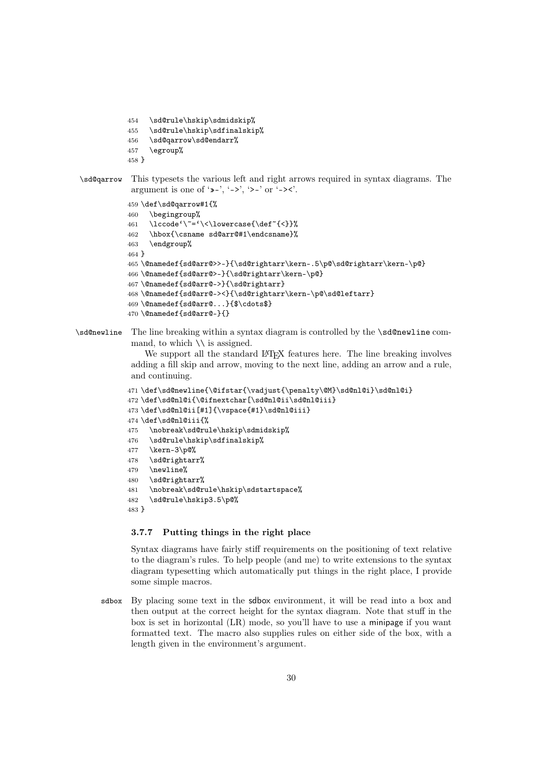```
454 \sd@rule\hskip\sdmidskip%
            455 \sd@rule\hskip\sdfinalskip%
            456 \sd@qarrow\sd@endarr%
            457 \egroup%
            458 }
\sd@qarrow This typesets the various left and right arrows required in syntax diagrams. The
            argument is one of '\rightarrow-', '->', '>-' or '-><'.
            459 \def\sd@qarrow#1{%
```

```
460 \begingroup%
461 \lccode'\~='\<\lowercase{\def~{<}}%
462 \hbox{\csname sd@arr@#1\endcsname}%
463 \endgroup%
464 }
465 \@namedef{sd@arr@>>-}{\sd@rightarr\kern-.5\p@\sd@rightarr\kern-\p@}
466 \@namedef{sd@arr@>-}{\sd@rightarr\kern-\p@}
467 \@namedef{sd@arr@->}{\sd@rightarr}
468 \@namedef{sd@arr@-><}{\sd@rightarr\kern-\p@\sd@leftarr}
469 \@namedef{sd@arr@...}{$\cdots$}
470 \@namedef{sd@arr@-}{}
```
\sd@newline The line breaking within a syntax diagram is controlled by the \sd@newline command, to which  $\setminus$  is assigned.

> We support all the standard LAT<sub>EX</sub> features here. The line breaking involves adding a fill skip and arrow, moving to the next line, adding an arrow and a rule, and continuing.

```
471 \def\sd@newline{\@ifstar{\vadjust{\penalty\@M}\sd@nl@i}\sd@nl@i}
472 \def\sd@nl@i{\@ifnextchar[\sd@nl@ii\sd@nl@iii}
473 \def\sd@nl@ii[#1]{\vspace{#1}\sd@nl@iii}
474 \def\sd@nl@iii{%
475 \nobreak\sd@rule\hskip\sdmidskip%
476 \sd@rule\hskip\sdfinalskip%
477 \kern-3\p@%
478 \sd@rightarr%
479 \newline%
480 \sd@rightarr%
481 \nobreak\sd@rule\hskip\sdstartspace%
482 \sd@rule\hskip3.5\p@%
483 }
```
#### 3.7.7 Putting things in the right place

Syntax diagrams have fairly stiff requirements on the positioning of text relative to the diagram's rules. To help people (and me) to write extensions to the syntax diagram typesetting which automatically put things in the right place, I provide some simple macros.

sdbox By placing some text in the sdbox environment, it will be read into a box and then output at the correct height for the syntax diagram. Note that stuff in the box is set in horizontal (LR) mode, so you'll have to use a minipage if you want formatted text. The macro also supplies rules on either side of the box, with a length given in the environment's argument.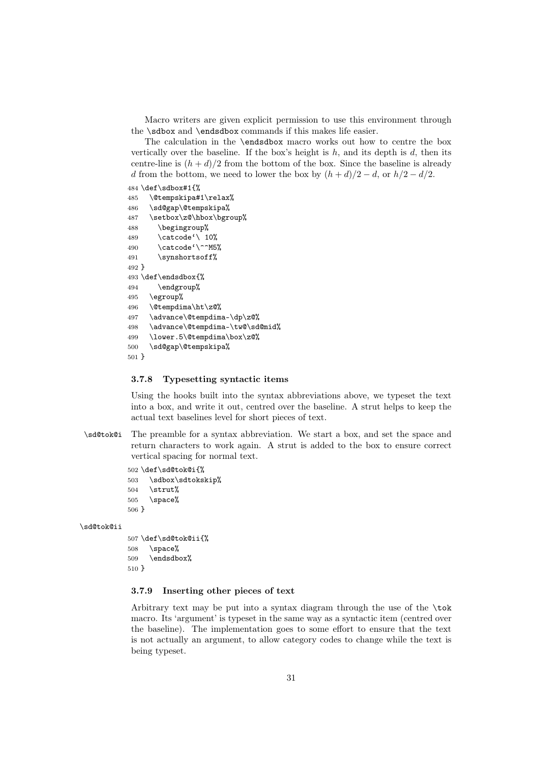Macro writers are given explicit permission to use this environment through the \sdbox and \endsdbox commands if this makes life easier.

The calculation in the \endsdbox macro works out how to centre the box vertically over the baseline. If the box's height is  $h$ , and its depth is  $d$ , then its centre-line is  $(h + d)/2$  from the bottom of the box. Since the baseline is already d from the bottom, we need to lower the box by  $(h + d)/2 - d$ , or  $h/2 - d/2$ .

#### 484 \def\sdbox#1{%

```
485 \@tempskipa#1\relax%
486 \sd@gap\@tempskipa%
487 \setbox\z@\hbox\bgroup%
488 \begingroup%
489 \catcode'\ 10%
490 \text{Catcode}^{\text{190}}491 \synshortsoff%
492 }
493 \def\endsdbox{%
494 \endgroup%
495 \egroup%
496 \@tempdima\ht\z@%
497 \advance\@tempdima-\dp\z@%
498 \advance\@tempdima-\tw@\sd@mid%
499 \lower.5\@tempdima\box\z@%
500 \sd@gap\@tempskipa%
501 }
```
#### 3.7.8 Typesetting syntactic items

Using the hooks built into the syntax abbreviations above, we typeset the text into a box, and write it out, centred over the baseline. A strut helps to keep the actual text baselines level for short pieces of text.

\sd@tok@i The preamble for a syntax abbreviation. We start a box, and set the space and return characters to work again. A strut is added to the box to ensure correct vertical spacing for normal text.

> 502 \def\sd@tok@i{% 503 \sdbox\sdtokskip% 504 \strut% 505 \space% 506 }

#### \sd@tok@ii

```
507 \def\sd@tok@ii{%
508 \space%
509 \endsdbox%
510 }
```
#### 3.7.9 Inserting other pieces of text

Arbitrary text may be put into a syntax diagram through the use of the \tok macro. Its 'argument' is typeset in the same way as a syntactic item (centred over the baseline). The implementation goes to some effort to ensure that the text is not actually an argument, to allow category codes to change while the text is being typeset.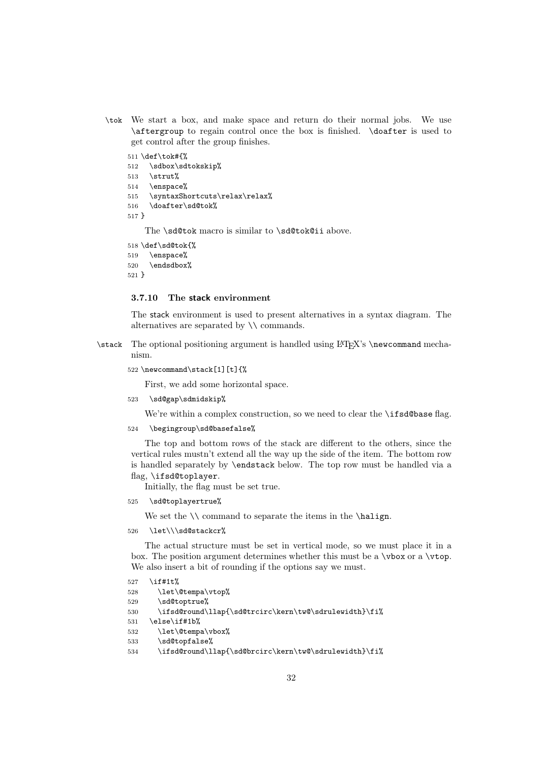\tok We start a box, and make space and return do their normal jobs. We use \aftergroup to regain control once the box is finished. \doafter is used to get control after the group finishes.

```
511 \def\tok#{%
512 \sdbox\sdtokskip%
513 \strut%
514 \enspace%
515 \syntaxShortcuts\relax\relax%
516 \doafter\sd@tok%
517 }
```
The \sd@tok macro is similar to \sd@tok@ii above.

```
518 \def\sd@tok{%
519 \enspace%
520 \endsdbox%
```
521 }

#### 3.7.10 The stack environment

The stack environment is used to present alternatives in a syntax diagram. The alternatives are separated by \\ commands.

- \stack The optional positioning argument is handled using LAT<sub>EX</sub>'s \newcommand mechanism.
	- 522 \newcommand\stack[1][t]{%

First, we add some horizontal space.

523 \sd@gap\sdmidskip%

We're within a complex construction, so we need to clear the **\ifsd@base** flag.

524 \begingroup\sd@basefalse%

The top and bottom rows of the stack are different to the others, since the vertical rules mustn't extend all the way up the side of the item. The bottom row is handled separately by \endstack below. The top row must be handled via a flag, \ifsd@toplayer.

Initially, the flag must be set true.

525 \sd@toplayertrue%

We set the  $\setminus$  command to separate the items in the  $\hbox{halign.}$ 

526 \let\\\sd@stackcr%

The actual structure must be set in vertical mode, so we must place it in a box. The position argument determines whether this must be a  $\forall$ box or a  $\forall$ top. We also insert a bit of rounding if the options say we must.

```
527 \if#1t%
```
- 528 \let\@tempa\vtop%
- 529 \sd@toptrue%
- 530 \ifsd@round\llap{\sd@trcirc\kern\tw@\sdrulewidth}\fi%
- 531 \else\if#1b%

```
532 \let\@tempa\vbox%
```
- 533 \sd@topfalse%
- 534 \ifsd@round\llap{\sd@brcirc\kern\tw@\sdrulewidth}\fi%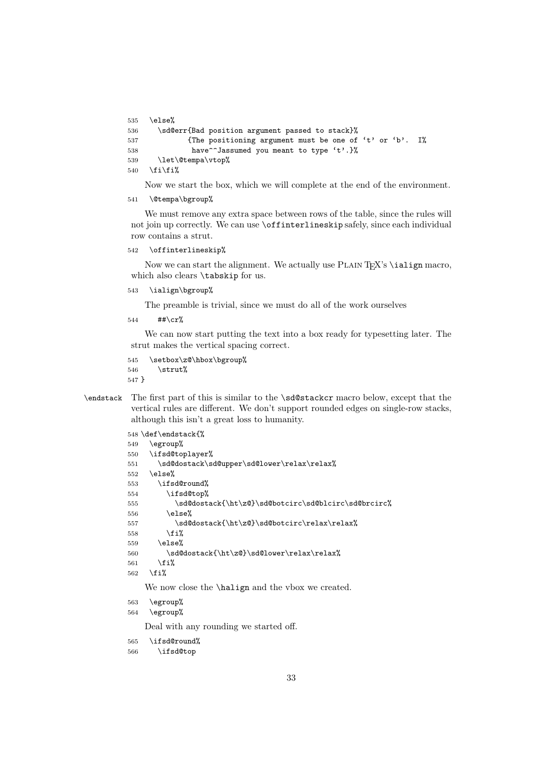```
535 \text{ kg}</math>536 \sd@err{Bad position argument passed to stack}%
537 {The positioning argument must be one of 't' or 'b'. I%
538 have<sup>^</sup>Jassumed you meant to type 't'.}%
539 \let\@tempa\vtop%
540 \tilde{\tilde{\mathbf{5}}
```
Now we start the box, which we will complete at the end of the environment.

541 \@tempa\bgroup%

We must remove any extra space between rows of the table, since the rules will not join up correctly. We can use \offinterlineskip safely, since each individual row contains a strut.

542 \offinterlineskip%

Now we can start the alignment. We actually use PLAIN T<sub>EX</sub>'s  $\iota$ ialign macro, which also clears \tabskip for us.

543 \ialign\bgroup%

The preamble is trivial, since we must do all of the work ourselves

544  $\#$ \*\cr%

We can now start putting the text into a box ready for typesetting later. The strut makes the vertical spacing correct.

545 \setbox\z@\hbox\bgroup% 546  $\strut$  \strut% 547 }

\endstack The first part of this is similar to the \sd@stackcr macro below, except that the vertical rules are different. We don't support rounded edges on single-row stacks, although this isn't a great loss to humanity.

```
548 \def\endstack{%
549 \egroup%
550 \ifsd@toplayer%
551 \sd@dostack\sd@upper\sd@lower\relax\relax%
552 \text{ kg}</math>553 \ifsd@round%
554 \ifsd@top%
555 \sd@dostack{\ht\z@}\sd@botcirc\sd@blcirc\sd@brcirc%
556 \else%
557 \sd@dostack{\ht\z@}\sd@botcirc\relax\relax%
558 \overrightarrow{fi}559 \text{ kg}</math>560 \sd@dostack{\ht\z@}\sd@lower\relax\relax%
561 \{f_i\}562 \fi%
    We now close the \halign and the vbox we created.
563 \egroup%
```
564 \egroup%

Deal with any rounding we started off.

- 565 \ifsd@round%
- 566 \ifsd@top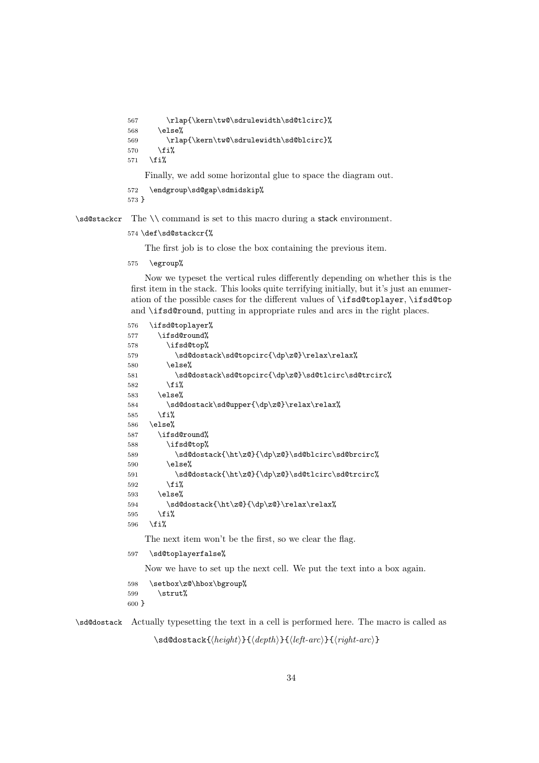```
567 \rlap{\kern\tw@\sdrulewidth\sd@tlcirc}%
568 \else%
569 \rlap{\kern\tw@\sdrulewidth\sd@blcirc}%
570 \overline{ifi}571 \{f_i\}Finally, we add some horizontal glue to space the diagram out.
572 \endgroup\sd@gap\sdmidskip%
```

```
573 }
```
\sd@stackcr The \\ command is set to this macro during a stack environment.

#### 574 \def\sd@stackcr{%

The first job is to close the box containing the previous item.

575 \egroup%

Now we typeset the vertical rules differently depending on whether this is the first item in the stack. This looks quite terrifying initially, but it's just an enumeration of the possible cases for the different values of \ifsd@toplayer, \ifsd@top and \ifsd@round, putting in appropriate rules and arcs in the right places.

```
576 \ifsd@toplayer%
577 \ifsd@round%
578 \ifsd@top%
579 \sd@dostack\sd@topcirc{\dp\z@}\relax\relax%
580 \else%
581 \sd@dostack\sd@topcirc{\dp\z@}\sd@tlcirc\sd@trcirc%
582 \fi%
583 \else%
584 \sd@dostack\sd@upper{\dp\z@}\relax\relax%
585 \fi%
586 \else%
587 \ifsd@round%
588 \ifsd@top%
589 \sd@dostack{\ht\z@}{\dp\z@}\sd@blcirc\sd@brcirc%
590 \qquad \text{lelex}591 \sd@dostack{\ht\z@}{\dp\z@}\sd@tlcirc\sd@trcirc%
592 \quad \text{if } \ell593 \else%
594 \sd@dostack{\ht\z@}{\dp\z@}\relax\relax%
595 \overline{\text{f}i\text{}}596 \fi%
   The next item won't be the first, so we clear the flag.
597 \sd@toplayerfalse%
```
Now we have to set up the next cell. We put the text into a box again.

```
598 \setbox\z@\hbox\bgroup%
599 \quad \text{Strut%}600 }
```
\sd@dostack Actually typesetting the text in a cell is performed here. The macro is called as

\sd@dostack{*height*}{*depth*}{*left-arc*}{*right-arc*}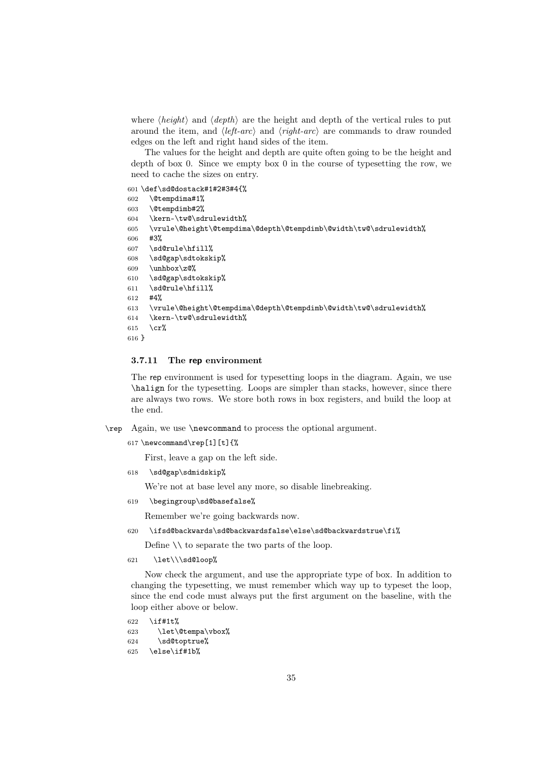where  $\langle height \rangle$  and  $\langle depth \rangle$  are the height and depth of the vertical rules to put around the item, and  $\langle left-arc \rangle$  and  $\langle right-arc \rangle$  are commands to draw rounded edges on the left and right hand sides of the item.

The values for the height and depth are quite often going to be the height and depth of box 0. Since we empty box 0 in the course of typesetting the row, we need to cache the sizes on entry.

```
601 \def\sd@dostack#1#2#3#4{%
602 \@tempdima#1%
603 \@tempdimb#2%
604 \kern-\tw@\sdrulewidth%
605 \vrule\@height\@tempdima\@depth\@tempdimb\@width\tw@\sdrulewidth%
606 #3%
607 \sd@rule\hfill%
608 \sd@gap\sdtokskip%
609 \unhbox\z\mathcal{O}_\lambda610 \sd@gap\sdtokskip%
611 \sd@rule\hfill%
612 #4%
613 \vrule\@height\@tempdima\@depth\@tempdimb\@width\tw@\sdrulewidth%
614 \kern-\tw@\sdrulewidth%
615 \cr%
616 }
```
#### 3.7.11 The rep environment

The rep environment is used for typesetting loops in the diagram. Again, we use \halign for the typesetting. Loops are simpler than stacks, however, since there are always two rows. We store both rows in box registers, and build the loop at the end.

- \rep Again, we use \newcommand to process the optional argument.
	- 617 \newcommand\rep[1][t]{%

First, leave a gap on the left side.

618 \sd@gap\sdmidskip%

We're not at base level any more, so disable linebreaking.

619 \begingroup\sd@basefalse%

Remember we're going backwards now.

620 \ifsd@backwards\sd@backwardsfalse\else\sd@backwardstrue\fi%

Define \\ to separate the two parts of the loop.

621 \let\\\sd@loop%

Now check the argument, and use the appropriate type of box. In addition to changing the typesetting, we must remember which way up to typeset the loop, since the end code must always put the first argument on the baseline, with the loop either above or below.

 $622 \quad \text{if} \#11\frac{1}{2}$  \let\@tempa\vbox% \sd@toptrue% \else\if#1b%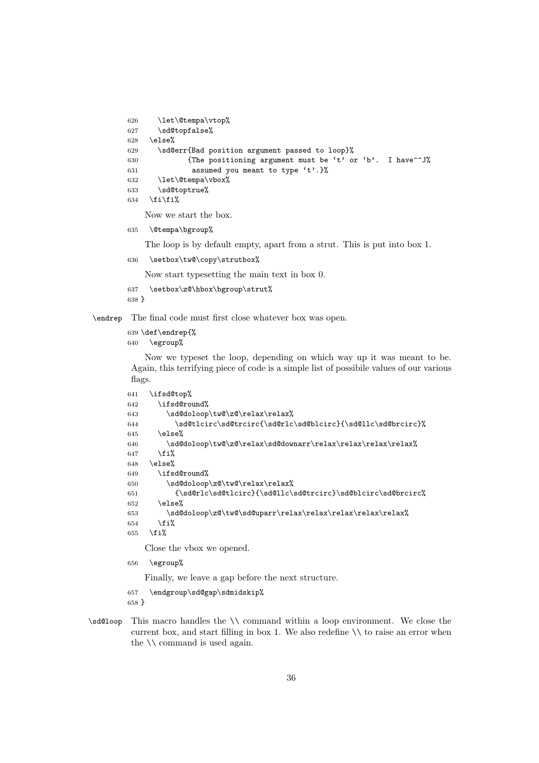```
626 \let\@tempa\vtop%
627 \sd@topfalse%
628 \else%
629 \sd@err{Bad position argument passed to loop}%
630 {fThe positioning argument must be 't' or 'b'. I have "J" and I'm't be a function of the function.}631 assumed you meant to type 't'.}%
632 \let\@tempa\vbox%
633 \sd@toptrue%
634 \tilde{\tilde{\theta}}Now we start the box.
```
\@tempa\bgroup%

The loop is by default empty, apart from a strut. This is put into box 1.

\setbox\tw@\copy\strutbox%

Now start typesetting the main text in box 0.

```
637 \setbox\z@\hbox\bgroup\strut%
```
}

\endrep The final code must first close whatever box was open.

\def\endrep{%

```
640 \egroup%
```
Now we typeset the loop, depending on which way up it was meant to be. Again, this terrifying piece of code is a simple list of possibile values of our various flags.

```
641 \ifsd@top%
642 \ifsd@round%
643 \sd@doloop\tw@\z@\relax\relax%
644 \sd@tlcirc\sd@trcirc{\sd@rlc\sd@blcirc}{\sd@llc\sd@brcirc}%
645 \else%
646 \sd@doloop\tw@\z@\relax\sd@downarr\relax\relax\relax\relax%
647 \fi%
648 \else%
649 \ifsd@round%
650 \sd@doloop\z@\tw@\relax\relax%
651 {\sd@rlc\sd@tlcirc}{\sd@llc\sd@trcirc}\sd@blcirc\sd@brcirc%
652 \else%
653 \sd@doloop\z@\tw@\sd@uparr\relax\relax\relax\relax\relax\relax%
654 \fi%
655 \overline{ifi\%}
```
Close the vbox we opened.

\egroup%

Finally, we leave a gap before the next structure.

\endgroup\sd@gap\sdmidskip%

}

\sd@loop This macro handles the \\ command within a loop environment. We close the current box, and start filling in box 1. We also redefine  $\setminus \setminus$  to raise an error when the  $\setminus \mathcal{C}$  command is used again.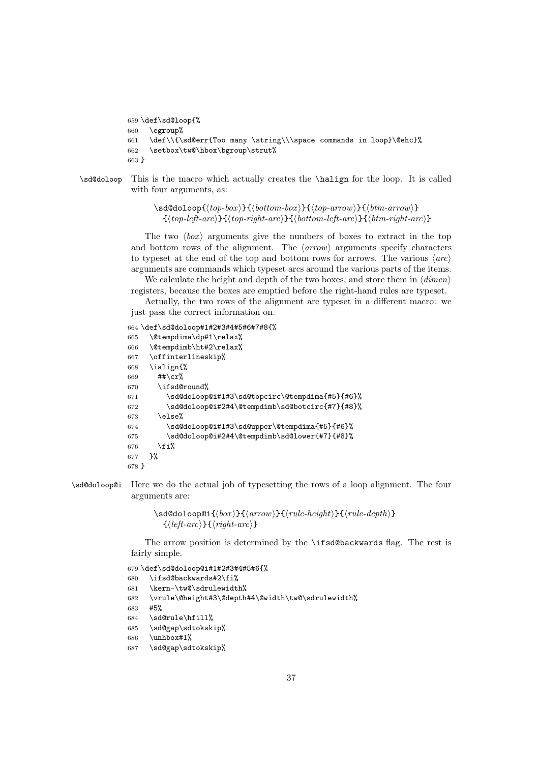```
659 \def\sd@loop{%
660 \egroup%
661 \def\\{\sd@err{Too many \string\\\space commands in loop}\@ehc}%
662 \setbox\tw@\hbox\bgroup\strut%
663 }
```
\sd@doloop This is the macro which actually creates the \halign for the loop. It is called with four arguments, as:

> \sd@doloop{*top-box* }{*bottom-box* }{*top-arrow*}{*btm-arrow*}  $\{\langle top-left-arc\rangle\}\{\langle top-right-arc\rangle\}\{\langle bottom-left-arc\rangle\}\{\langle btm-right-arc\rangle\}$

The two  $\langle box \rangle$  arguments give the numbers of boxes to extract in the top and bottom rows of the alignment. The  $\langle arrow \rangle$  arguments specify characters to typeset at the end of the top and bottom rows for arrows. The various  $\langle arc \rangle$ arguments are commands which typeset arcs around the various parts of the items.

We calculate the height and depth of the two boxes, and store them in *dimen* registers, because the boxes are emptied before the right-hand rules are typeset.

Actually, the two rows of the alignment are typeset in a different macro: we just pass the correct information on.

```
664 \def\sd@doloop#1#2#3#4#5#6#7#8{%
```

```
665 \@tempdima\dp#1\relax%
666 \@tempdimb\ht#2\relax%
667 \offinterlineskip%
668 \ialign{%
669 ##\cr%
670 \ifsd@round%
671 \sd@doloop@i#1#3\sd@topcirc\@tempdima{#5}{#6}%
672 \sd@doloop@i#2#4\@tempdimb\sd@botcirc{#7}{#8}%
673 \else%
674 \sd@doloop@i#1#3\sd@upper\@tempdima{#5}{#6}%
675 \sd@doloop@i#2#4\@tempdimb\sd@lower{#7}{#8}%
676 \fi%
677 }%
678 }
```
\sd@doloop@i Here we do the actual job of typesetting the rows of a loop alignment. The four arguments are:

> \sd@doloop@i{*box* }{*arrow*}{*rule-height*}{*rule-depth*}  $\{\langle left-arc\rangle\}\{\langle right-arc\rangle\}$

The arrow position is determined by the \ifsd@backwards flag. The rest is fairly simple.

```
679 \def\sd@doloop@i#1#2#3#4#5#6{%
```

```
680 \ifsd@backwards#2\fi%
```

```
681 \kern-\tw@\sdrulewidth%
```

```
682 \vrule\@height#3\@depth#4\@width\tw@\sdrulewidth%
```

```
683 #5%
```

```
684 \sd@rule\hfill%
```
\sd@gap\sdtokskip%

```
686 \unhbox#1%
```

```
687 \sd@gap\sdtokskip%
```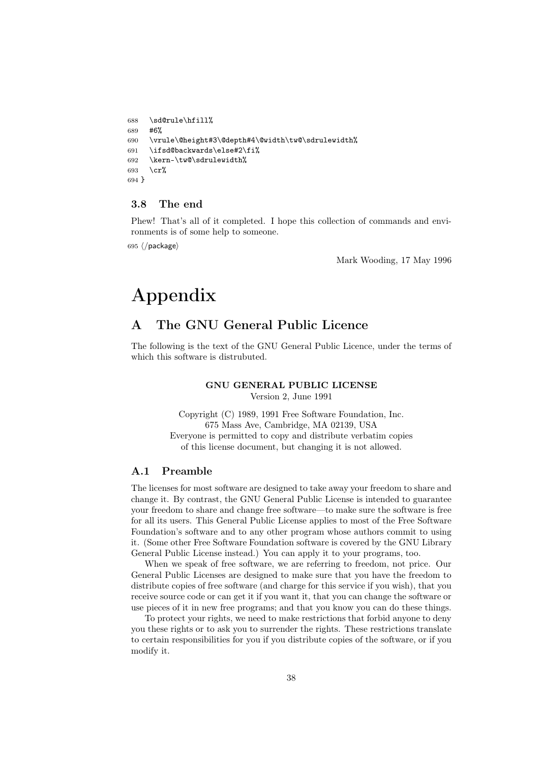```
688 \sd@rule\hfill%
689 #6%
690 \vrule\@height#3\@depth#4\@width\tw@\sdrulewidth%
691 \ifsd@backwards\else#2\fi%
692 \kern-\tw@\sdrulewidth%
693 \operatorname{cr}%
694 }
```
### 3.8 The end

Phew! That's all of it completed. I hope this collection of commands and environments is of some help to someone.

695  $\langle$ /package $\rangle$ 

Mark Wooding, 17 May 1996

# Appendix

# A The GNU General Public Licence

The following is the text of the GNU General Public Licence, under the terms of which this software is distrubuted.

#### GNU GENERAL PUBLIC LICENSE

Version 2, June 1991

Copyright (C) 1989, 1991 Free Software Foundation, Inc. 675 Mass Ave, Cambridge, MA 02139, USA Everyone is permitted to copy and distribute verbatim copies of this license document, but changing it is not allowed.

#### A.1 Preamble

The licenses for most software are designed to take away your freedom to share and change it. By contrast, the GNU General Public License is intended to guarantee your freedom to share and change free software—to make sure the software is free for all its users. This General Public License applies to most of the Free Software Foundation's software and to any other program whose authors commit to using it. (Some other Free Software Foundation software is covered by the GNU Library General Public License instead.) You can apply it to your programs, too.

When we speak of free software, we are referring to freedom, not price. Our General Public Licenses are designed to make sure that you have the freedom to distribute copies of free software (and charge for this service if you wish), that you receive source code or can get it if you want it, that you can change the software or use pieces of it in new free programs; and that you know you can do these things.

To protect your rights, we need to make restrictions that forbid anyone to deny you these rights or to ask you to surrender the rights. These restrictions translate to certain responsibilities for you if you distribute copies of the software, or if you modify it.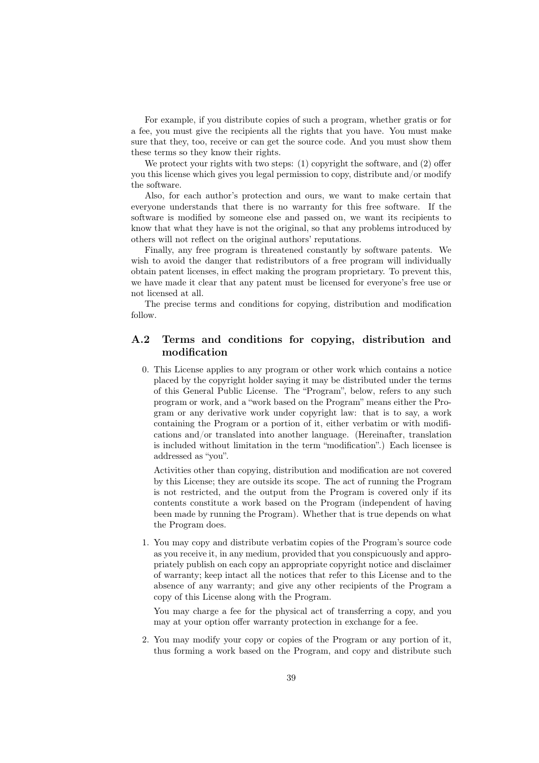For example, if you distribute copies of such a program, whether gratis or for a fee, you must give the recipients all the rights that you have. You must make sure that they, too, receive or can get the source code. And you must show them these terms so they know their rights.

We protect your rights with two steps: (1) copyright the software, and (2) offer you this license which gives you legal permission to copy, distribute and/or modify the software.

Also, for each author's protection and ours, we want to make certain that everyone understands that there is no warranty for this free software. If the software is modified by someone else and passed on, we want its recipients to know that what they have is not the original, so that any problems introduced by others will not reflect on the original authors' reputations.

Finally, any free program is threatened constantly by software patents. We wish to avoid the danger that redistributors of a free program will individually obtain patent licenses, in effect making the program proprietary. To prevent this, we have made it clear that any patent must be licensed for everyone's free use or not licensed at all.

The precise terms and conditions for copying, distribution and modification follow.

#### A.2 Terms and conditions for copying, distribution and modification

0. This License applies to any program or other work which contains a notice placed by the copyright holder saying it may be distributed under the terms of this General Public License. The "Program", below, refers to any such program or work, and a "work based on the Program" means either the Program or any derivative work under copyright law: that is to say, a work containing the Program or a portion of it, either verbatim or with modifications and/or translated into another language. (Hereinafter, translation is included without limitation in the term "modification".) Each licensee is addressed as "you".

Activities other than copying, distribution and modification are not covered by this License; they are outside its scope. The act of running the Program is not restricted, and the output from the Program is covered only if its contents constitute a work based on the Program (independent of having been made by running the Program). Whether that is true depends on what the Program does.

1. You may copy and distribute verbatim copies of the Program's source code as you receive it, in any medium, provided that you conspicuously and appropriately publish on each copy an appropriate copyright notice and disclaimer of warranty; keep intact all the notices that refer to this License and to the absence of any warranty; and give any other recipients of the Program a copy of this License along with the Program.

You may charge a fee for the physical act of transferring a copy, and you may at your option offer warranty protection in exchange for a fee.

2. You may modify your copy or copies of the Program or any portion of it, thus forming a work based on the Program, and copy and distribute such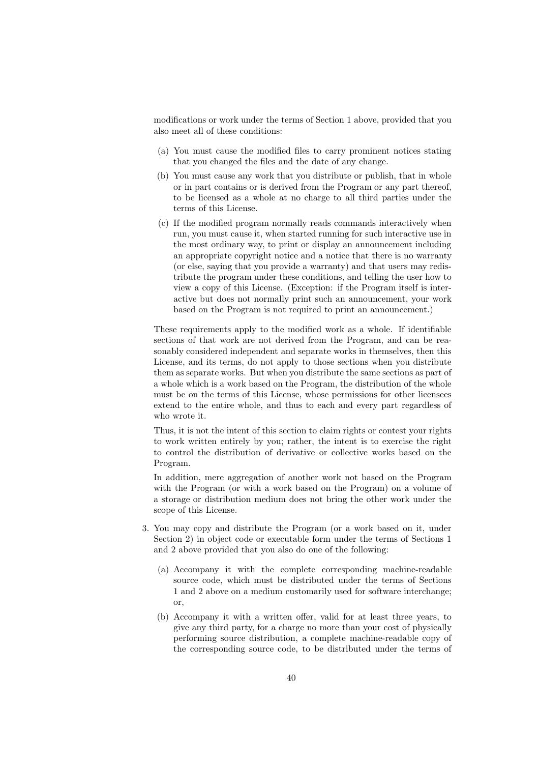modifications or work under the terms of Section 1 above, provided that you also meet all of these conditions:

- (a) You must cause the modified files to carry prominent notices stating that you changed the files and the date of any change.
- (b) You must cause any work that you distribute or publish, that in whole or in part contains or is derived from the Program or any part thereof, to be licensed as a whole at no charge to all third parties under the terms of this License.
- (c) If the modified program normally reads commands interactively when run, you must cause it, when started running for such interactive use in the most ordinary way, to print or display an announcement including an appropriate copyright notice and a notice that there is no warranty (or else, saying that you provide a warranty) and that users may redistribute the program under these conditions, and telling the user how to view a copy of this License. (Exception: if the Program itself is interactive but does not normally print such an announcement, your work based on the Program is not required to print an announcement.)

These requirements apply to the modified work as a whole. If identifiable sections of that work are not derived from the Program, and can be reasonably considered independent and separate works in themselves, then this License, and its terms, do not apply to those sections when you distribute them as separate works. But when you distribute the same sections as part of a whole which is a work based on the Program, the distribution of the whole must be on the terms of this License, whose permissions for other licensees extend to the entire whole, and thus to each and every part regardless of who wrote it.

Thus, it is not the intent of this section to claim rights or contest your rights to work written entirely by you; rather, the intent is to exercise the right to control the distribution of derivative or collective works based on the Program.

In addition, mere aggregation of another work not based on the Program with the Program (or with a work based on the Program) on a volume of a storage or distribution medium does not bring the other work under the scope of this License.

- 3. You may copy and distribute the Program (or a work based on it, under Section 2) in object code or executable form under the terms of Sections 1 and 2 above provided that you also do one of the following:
	- (a) Accompany it with the complete corresponding machine-readable source code, which must be distributed under the terms of Sections 1 and 2 above on a medium customarily used for software interchange; or,
	- (b) Accompany it with a written offer, valid for at least three years, to give any third party, for a charge no more than your cost of physically performing source distribution, a complete machine-readable copy of the corresponding source code, to be distributed under the terms of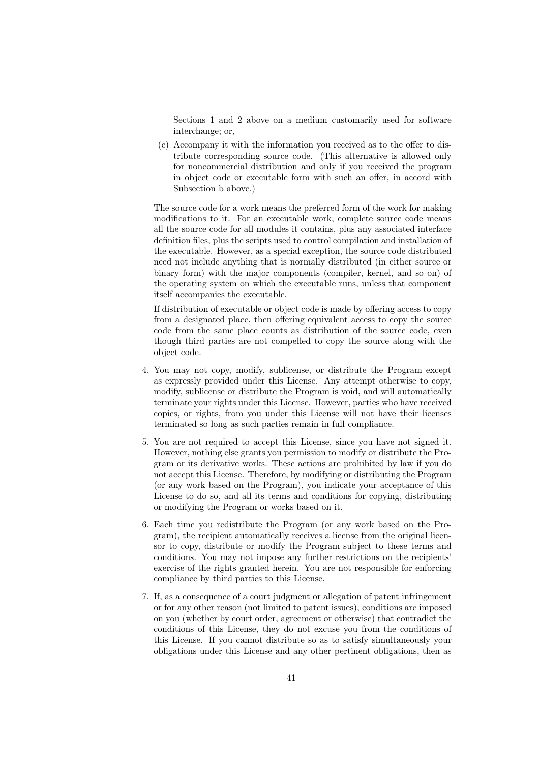Sections 1 and 2 above on a medium customarily used for software interchange; or,

(c) Accompany it with the information you received as to the offer to distribute corresponding source code. (This alternative is allowed only for noncommercial distribution and only if you received the program in object code or executable form with such an offer, in accord with Subsection b above.)

The source code for a work means the preferred form of the work for making modifications to it. For an executable work, complete source code means all the source code for all modules it contains, plus any associated interface definition files, plus the scripts used to control compilation and installation of the executable. However, as a special exception, the source code distributed need not include anything that is normally distributed (in either source or binary form) with the major components (compiler, kernel, and so on) of the operating system on which the executable runs, unless that component itself accompanies the executable.

If distribution of executable or object code is made by offering access to copy from a designated place, then offering equivalent access to copy the source code from the same place counts as distribution of the source code, even though third parties are not compelled to copy the source along with the object code.

- 4. You may not copy, modify, sublicense, or distribute the Program except as expressly provided under this License. Any attempt otherwise to copy, modify, sublicense or distribute the Program is void, and will automatically terminate your rights under this License. However, parties who have received copies, or rights, from you under this License will not have their licenses terminated so long as such parties remain in full compliance.
- 5. You are not required to accept this License, since you have not signed it. However, nothing else grants you permission to modify or distribute the Program or its derivative works. These actions are prohibited by law if you do not accept this License. Therefore, by modifying or distributing the Program (or any work based on the Program), you indicate your acceptance of this License to do so, and all its terms and conditions for copying, distributing or modifying the Program or works based on it.
- 6. Each time you redistribute the Program (or any work based on the Program), the recipient automatically receives a license from the original licensor to copy, distribute or modify the Program subject to these terms and conditions. You may not impose any further restrictions on the recipients' exercise of the rights granted herein. You are not responsible for enforcing compliance by third parties to this License.
- 7. If, as a consequence of a court judgment or allegation of patent infringement or for any other reason (not limited to patent issues), conditions are imposed on you (whether by court order, agreement or otherwise) that contradict the conditions of this License, they do not excuse you from the conditions of this License. If you cannot distribute so as to satisfy simultaneously your obligations under this License and any other pertinent obligations, then as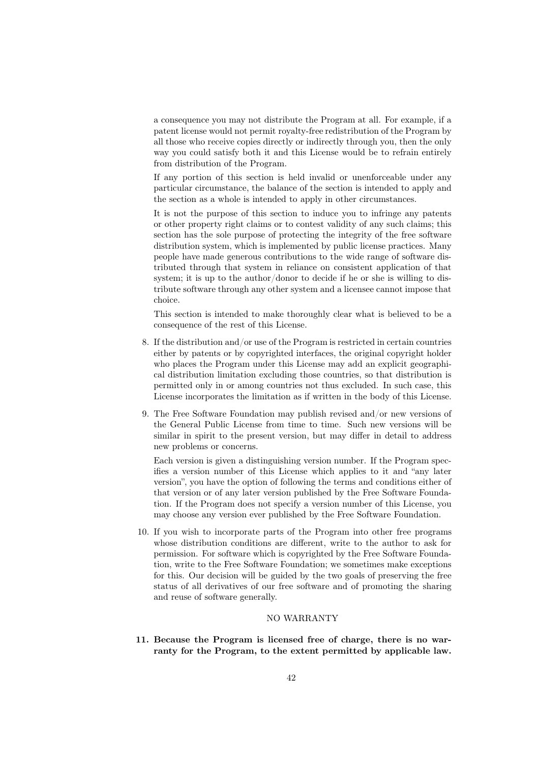a consequence you may not distribute the Program at all. For example, if a patent license would not permit royalty-free redistribution of the Program by all those who receive copies directly or indirectly through you, then the only way you could satisfy both it and this License would be to refrain entirely from distribution of the Program.

If any portion of this section is held invalid or unenforceable under any particular circumstance, the balance of the section is intended to apply and the section as a whole is intended to apply in other circumstances.

It is not the purpose of this section to induce you to infringe any patents or other property right claims or to contest validity of any such claims; this section has the sole purpose of protecting the integrity of the free software distribution system, which is implemented by public license practices. Many people have made generous contributions to the wide range of software distributed through that system in reliance on consistent application of that system; it is up to the author/donor to decide if he or she is willing to distribute software through any other system and a licensee cannot impose that choice.

This section is intended to make thoroughly clear what is believed to be a consequence of the rest of this License.

- 8. If the distribution and/or use of the Program is restricted in certain countries either by patents or by copyrighted interfaces, the original copyright holder who places the Program under this License may add an explicit geographical distribution limitation excluding those countries, so that distribution is permitted only in or among countries not thus excluded. In such case, this License incorporates the limitation as if written in the body of this License.
- 9. The Free Software Foundation may publish revised and/or new versions of the General Public License from time to time. Such new versions will be similar in spirit to the present version, but may differ in detail to address new problems or concerns.

Each version is given a distinguishing version number. If the Program specifies a version number of this License which applies to it and "any later version", you have the option of following the terms and conditions either of that version or of any later version published by the Free Software Foundation. If the Program does not specify a version number of this License, you may choose any version ever published by the Free Software Foundation.

10. If you wish to incorporate parts of the Program into other free programs whose distribution conditions are different, write to the author to ask for permission. For software which is copyrighted by the Free Software Foundation, write to the Free Software Foundation; we sometimes make exceptions for this. Our decision will be guided by the two goals of preserving the free status of all derivatives of our free software and of promoting the sharing and reuse of software generally.

#### NO WARRANTY

11. Because the Program is licensed free of charge, there is no warranty for the Program, to the extent permitted by applicable law.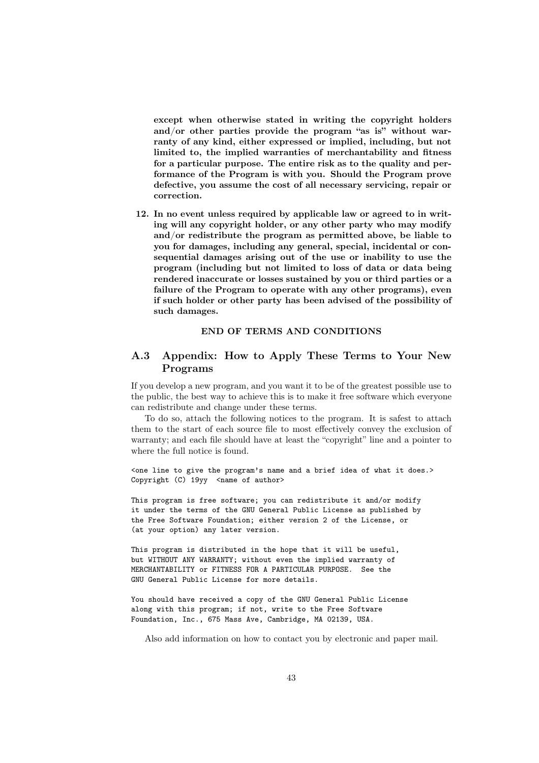except when otherwise stated in writing the copyright holders and/or other parties provide the program "as is" without warranty of any kind, either expressed or implied, including, but not limited to, the implied warranties of merchantability and fitness for a particular purpose. The entire risk as to the quality and performance of the Program is with you. Should the Program prove defective, you assume the cost of all necessary servicing, repair or correction.

12. In no event unless required by applicable law or agreed to in writing will any copyright holder, or any other party who may modify and/or redistribute the program as permitted above, be liable to you for damages, including any general, special, incidental or consequential damages arising out of the use or inability to use the program (including but not limited to loss of data or data being rendered inaccurate or losses sustained by you or third parties or a failure of the Program to operate with any other programs), even if such holder or other party has been advised of the possibility of such damages.

#### END OF TERMS AND CONDITIONS

### A.3 Appendix: How to Apply These Terms to Your New Programs

If you develop a new program, and you want it to be of the greatest possible use to the public, the best way to achieve this is to make it free software which everyone can redistribute and change under these terms.

To do so, attach the following notices to the program. It is safest to attach them to the start of each source file to most effectively convey the exclusion of warranty; and each file should have at least the "copyright" line and a pointer to where the full notice is found.

<one line to give the program's name and a brief idea of what it does.> Copyright (C)  $19yy$  <name of author>

This program is free software; you can redistribute it and/or modify it under the terms of the GNU General Public License as published by the Free Software Foundation; either version 2 of the License, or (at your option) any later version.

This program is distributed in the hope that it will be useful, but WITHOUT ANY WARRANTY; without even the implied warranty of MERCHANTABILITY or FITNESS FOR A PARTICULAR PURPOSE. See the GNU General Public License for more details.

You should have received a copy of the GNU General Public License along with this program; if not, write to the Free Software Foundation, Inc., 675 Mass Ave, Cambridge, MA 02139, USA.

Also add information on how to contact you by electronic and paper mail.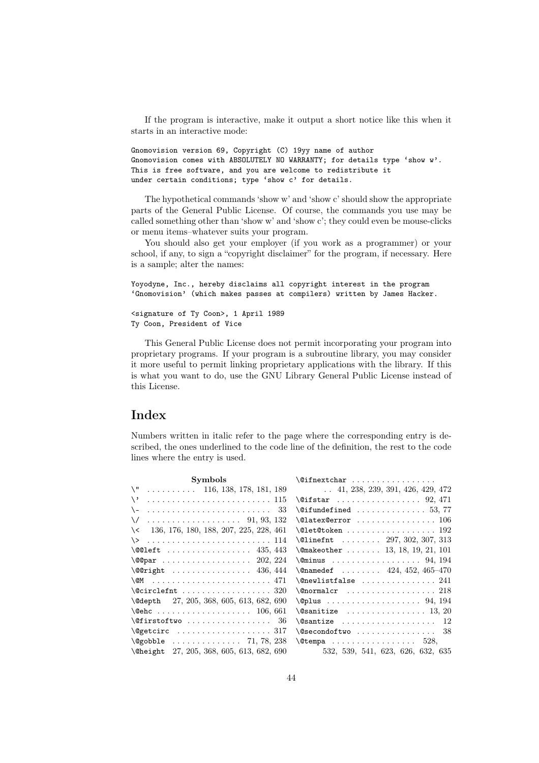If the program is interactive, make it output a short notice like this when it starts in an interactive mode:

```
Gnomovision version 69, Copyright (C) 19yy name of author
Gnomovision comes with ABSOLUTELY NO WARRANTY; for details type 'show w'.
This is free software, and you are welcome to redistribute it
under certain conditions; type 'show c' for details.
```
The hypothetical commands 'show w' and 'show c' should show the appropriate parts of the General Public License. Of course, the commands you use may be called something other than 'show w' and 'show c'; they could even be mouse-clicks or menu items–whatever suits your program.

You should also get your employer (if you work as a programmer) or your school, if any, to sign a "copyright disclaimer" for the program, if necessary. Here is a sample; alter the names:

```
Yoyodyne, Inc., hereby disclaims all copyright interest in the program
'Gnomovision' (which makes passes at compilers) written by James Hacker.
```
<signature of Ty Coon>, 1 April 1989 Ty Coon, President of Vice

This General Public License does not permit incorporating your program into proprietary programs. If your program is a subroutine library, you may consider it more useful to permit linking proprietary applications with the library. If this is what you want to do, use the GNU Library General Public License instead of this License.

## Index

Numbers written in italic refer to the page where the corresponding entry is described, the ones underlined to the code line of the definition, the rest to the code lines where the entry is used.

| Symbols                                           | $\left\{ \emptyset\right\}$ finextchar                                |
|---------------------------------------------------|-----------------------------------------------------------------------|
| $\Upsilon$ 116, 138, 178, 181, 189                | $\ldots$ 41, 238, 239, 391, 426, 429, 472                             |
| $\setminus$ ,                                     | $\sqrt{eifstar$ 92, 471                                               |
| $\setminus$                                       | $\setminus$ @ifundefined  53,77                                       |
|                                                   | $\text{Quatex@error}$ 106                                             |
| 136, 176, 180, 188, 207, 225, 228, 461<br>$\prec$ | $\text{Qlet@token}$ 192                                               |
|                                                   | $\text{Client} \dots \dots \ 297, 302, 307, 313$                      |
| \@@left  435, 443                                 | $\{\text{Omakeother } \dots \dots \quad 13, 18, 19, 21, 101\}$        |
| $\qquad$ (COpar  202, 224                         | $\text{Ominus}$ 94, 194                                               |
| $\sqrt{$ @ Tight 436, 444                         | $\{\text{Onamedef } \dots \dots \ 424, 452, 465-470\}$                |
|                                                   | $\texttt{\texttt{Onewlistfalse}} \dots \dots \dots \dots \dots \ 241$ |
| $\text{^\&\,}$                                    | $\Gamma$ . $\Omega$                                                   |
| $\text{Qdepth}$ 27, 205, 368, 605, 613, 682, 690  | $\qquad$                                                              |
| $\text{Qehc}$ 106, 661                            |                                                                       |
|                                                   | $\backslash$ @santize  12                                             |
|                                                   | $\setminus$ @secondoftwo  38                                          |
| $\qquad$ (@gobble  71, 78, 238                    | $\setminus$ @tempa  528,                                              |
| \Cheight 27, 205, 368, 605, 613, 682, 690         | 532, 539, 541, 623, 626, 632, 635                                     |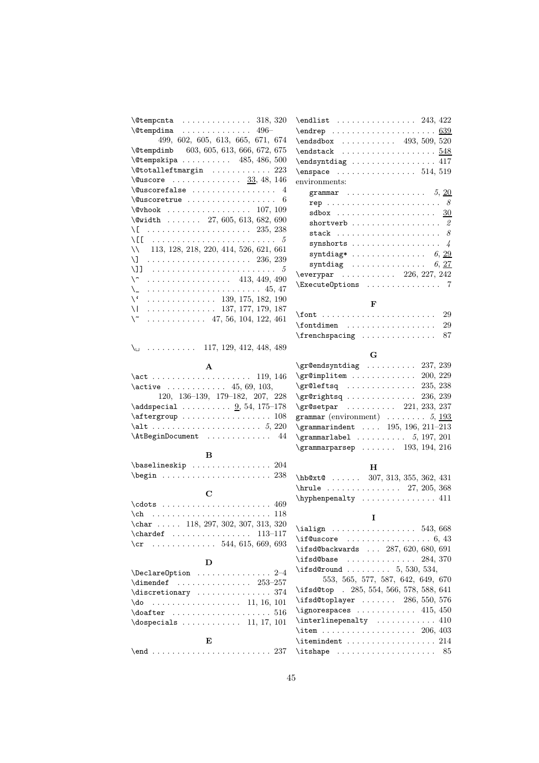| $\text{Utempenta}$ 318, 320                                                    | $\end{align}$ $243, 422$                                                                                                                                                                                                                                                                                                                     |
|--------------------------------------------------------------------------------|----------------------------------------------------------------------------------------------------------------------------------------------------------------------------------------------------------------------------------------------------------------------------------------------------------------------------------------------|
| $\text{Ctempdim}$ 496-                                                         |                                                                                                                                                                                                                                                                                                                                              |
| 499, 602, 605, 613, 665, 671, 674                                              | $\end{sdbox$ 493, 509, 520                                                                                                                                                                                                                                                                                                                   |
| \@tempdimb 603, 605, 613, 666, 672, 675                                        |                                                                                                                                                                                                                                                                                                                                              |
| $\text{Ctempskipa} \ldots \ldots \ldots \quad 485, 486, 500$                   | \endsyntdiag  417                                                                                                                                                                                                                                                                                                                            |
| $\setminus$ Ctotalleftmargin  223                                              | $\emptyset$ . 514, 519                                                                                                                                                                                                                                                                                                                       |
| $\text{Quscore}$ 33, 48, 146                                                   | environments:                                                                                                                                                                                                                                                                                                                                |
| $\text{Quscorefalse} \dots \dots \dots \dots \quad 4$                          | grammar 5, 20                                                                                                                                                                                                                                                                                                                                |
| $\&C$ uscoretrue<br>6                                                          | rep $8$                                                                                                                                                                                                                                                                                                                                      |
| $\sqrt{$ Whook  107, 109                                                       |                                                                                                                                                                                                                                                                                                                                              |
| $\forall$ width  27, 605, 613, 682, 690                                        | shortverb $2$                                                                                                                                                                                                                                                                                                                                |
| \[  235, 238                                                                   | stack $8$                                                                                                                                                                                                                                                                                                                                    |
| $\setminus$ [[ $\ldots \ldots \ldots \ldots \ldots \ldots \ldots \ldots 5$     |                                                                                                                                                                                                                                                                                                                                              |
| 113, 128, 218, 220, 414, 526, 621, 661<br>$\setminus$                          | syntdiag* $6, 29$                                                                                                                                                                                                                                                                                                                            |
| N.                                                                             | syntdiag $6, 27$                                                                                                                                                                                                                                                                                                                             |
| \]]                                                                            | $\text{Veverypar}$ 226, 227, 242                                                                                                                                                                                                                                                                                                             |
| $\setminus\widehat{\phantom{a}}$<br>$\cdots$ 413, 449, 490                     | \ExecuteOptions  7                                                                                                                                                                                                                                                                                                                           |
| $\setminus$                                                                    |                                                                                                                                                                                                                                                                                                                                              |
| $\setminus$ $\cdot$<br>$\ldots \ldots \ldots \ldots \ldots 139, 175, 182, 190$ | F                                                                                                                                                                                                                                                                                                                                            |
| $\vee$<br>$\ldots \ldots \ldots \ldots \ldots 137, 177, 179, 187$              | 29                                                                                                                                                                                                                                                                                                                                           |
| $\setminus$ ~<br>$\ldots \ldots \ldots \ldots$ 47, 56, 104, 122, 461           |                                                                                                                                                                                                                                                                                                                                              |
|                                                                                | $\forall$ fontdimen<br>29                                                                                                                                                                                                                                                                                                                    |
|                                                                                | 87                                                                                                                                                                                                                                                                                                                                           |
| $\setminus_{\square}$ 117, 129, 412, 448, 489                                  | G                                                                                                                                                                                                                                                                                                                                            |
|                                                                                | $\sqrt{grQendsyntdiag$ 237, 239                                                                                                                                                                                                                                                                                                              |
| A                                                                              | $\sqrt{gr}$ Cimplitem $200,\,229$                                                                                                                                                                                                                                                                                                            |
|                                                                                | $\sqrt{gr@left}$ 235, 238                                                                                                                                                                                                                                                                                                                    |
| $\text{active}$ 45, 69, 103,                                                   |                                                                                                                                                                                                                                                                                                                                              |
| 120, 136-139, 179-182, 207, 228                                                |                                                                                                                                                                                                                                                                                                                                              |
| $\ad{\text{special} \ldots \ldots \ldots \ 9, 54, 175-178}$                    | $\sqrt{gr\mathcal{C}}$ setpar  221, 233, 237                                                                                                                                                                                                                                                                                                 |
| $\after group \dots \dots \dots \dots \dots 108$                               | grammar (environment) $\ldots \ldots 5, \underline{193}$                                                                                                                                                                                                                                                                                     |
|                                                                                | \grammarindent  195, 196, 211-213                                                                                                                                                                                                                                                                                                            |
| \AtBeginDocument  44                                                           | $\qquad \qquad \setminus \texttt{grammarlabel} \qquad \ldots \qquad \qquad 5, 197, 201$                                                                                                                                                                                                                                                      |
| B                                                                              | $\gamma$ 193, 194, 216                                                                                                                                                                                                                                                                                                                       |
| $\baselineskip$ 204                                                            |                                                                                                                                                                                                                                                                                                                                              |
| $\begin{array}{ccc}\n\text{begin}1.238\n\end{array}$                           | н                                                                                                                                                                                                                                                                                                                                            |
|                                                                                | $hbot@x$ :  307, 313, 355, 362, 431                                                                                                                                                                                                                                                                                                          |
| C                                                                              | \hrule  27, 205, 368                                                                                                                                                                                                                                                                                                                         |
|                                                                                | \hyphenpenalty  411                                                                                                                                                                                                                                                                                                                          |
|                                                                                |                                                                                                                                                                                                                                                                                                                                              |
| $\char'$ 118, 297, 302, 307, 313, 320                                          | I                                                                                                                                                                                                                                                                                                                                            |
| 113–117                                                                        | $\tilde{543}, 668$                                                                                                                                                                                                                                                                                                                           |
|                                                                                | $\iint@uscore$ 6, 43                                                                                                                                                                                                                                                                                                                         |
|                                                                                | \ifsd@backwards  287, 620, 680, 691                                                                                                                                                                                                                                                                                                          |
| D                                                                              | \ifsd@base<br>. 284, 370                                                                                                                                                                                                                                                                                                                     |
| $\Delta$ PeclareOption $2-4$                                                   | \ifsd@round $5, 530, 534,$                                                                                                                                                                                                                                                                                                                   |
| $\dim$ endef  253-257                                                          | 553, 565, 577, 587, 642, 649, 670                                                                                                                                                                                                                                                                                                            |
| $\text{discretionary} \dots \dots \dots \dots$<br>374                          | \ifsd@top . 285, 554, 566, 578, 588, 641                                                                                                                                                                                                                                                                                                     |
| $\{do$ 11, 16, 101                                                             | $\iint sdf$ oplayer  286, 550, 576                                                                                                                                                                                                                                                                                                           |
|                                                                                | $\qquad$ $\qquad$ $\qquad$ $\qquad$ $\qquad$ $\qquad$ $\qquad$ $\qquad$ $\qquad$ $\qquad$ $\qquad$ $\qquad$ $\qquad$ $\qquad$ $\qquad$ $\qquad$ $\qquad$ $\qquad$ $\qquad$ $\qquad$ $\qquad$ $\qquad$ $\qquad$ $\qquad$ $\qquad$ $\qquad$ $\qquad$ $\qquad$ $\qquad$ $\qquad$ $\qquad$ $\qquad$ $\qquad$ $\qquad$ $\qquad$ $\qquad$ $\qquad$ |
| $\text{logpecials}$ 11, 17, 101                                                | $\int$ interline penalty  410                                                                                                                                                                                                                                                                                                                |
|                                                                                |                                                                                                                                                                                                                                                                                                                                              |
| E                                                                              | $\mathrm{itemindent} \dots \dots \dots \dots \dots \ 214$                                                                                                                                                                                                                                                                                    |
|                                                                                | $\it \t{itshape \ldots \ldots \ldots \ldots 85}$                                                                                                                                                                                                                                                                                             |
|                                                                                |                                                                                                                                                                                                                                                                                                                                              |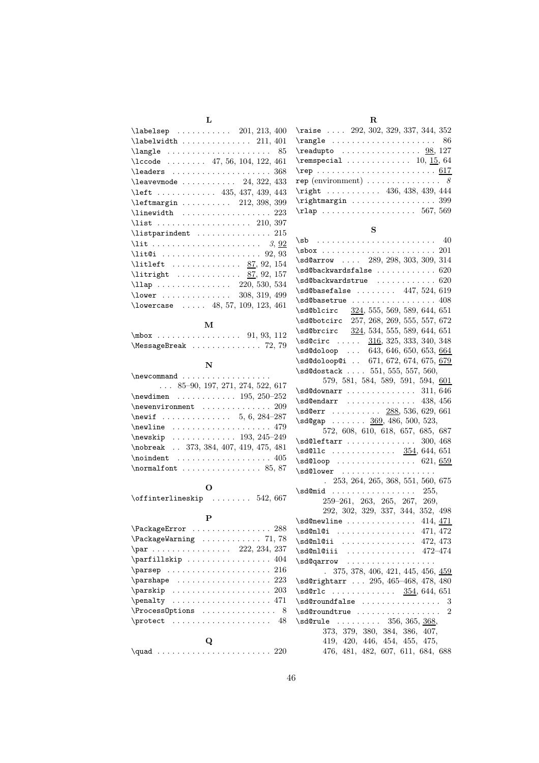|  | ٠ |
|--|---|
|  |   |
|  |   |

| . . | I        |
|-----|----------|
|     | .,<br>۰, |

| $\lambda$ abelsep  201, 213, 400                           |
|------------------------------------------------------------|
| $\lambda$ abelwidth  211, 401                              |
| $\langle 35 \rangle$                                       |
| $\text{1ccode}$ 47, 56, 104, 122, 461                      |
|                                                            |
| $\lambda$ avevmode  24, 322, 433                           |
| \left 435, 437, 439, 443                                   |
| \leftmargin  212, 398, 399                                 |
| $\{\$                                                      |
| $\{\text{list} \dots \dots \dots \dots \dots \ 210, 397\}$ |
| $\texttt{listparindent}$ 215                               |
|                                                            |
|                                                            |
| \litleft  87, 92, 154                                      |
| $\lvert \lvert 87, 92, 157 \rvert$                         |
| \llap 220, 530, 534                                        |
| \lower  308, 319, 499                                      |
| \lowercase  48, 57, 109, 123, 461                          |

#### M

| $\text{MessageBreak} \dots \dots \dots \dots 72, 79$ |  |  |  |  |  |  |  |  |  |  |
|------------------------------------------------------|--|--|--|--|--|--|--|--|--|--|

N

 $\sum_{n=1}^{\infty}$ 

| $\ldots$ 85-90, 197, 271, 274, 522, 617 |
|-----------------------------------------|
| $\neq$ wdimen  195, 250-252             |
| $\neq$ wenvironment  209                |
| \newif  5, 6, 284-287                   |
| $\neq$ 179                              |
| \newskip  193, 245-249                  |
| \nobreak  373, 384, 407, 419, 475, 481  |
|                                         |
|                                         |

#### O

\offinterlineskip ........ 542, 667

#### P

| $\text{PackageError} \dots \dots \dots \dots \dots \ 288$ |
|-----------------------------------------------------------|
| $\lambda$ PackageWarning  71,78                           |
| $\parbox{1.7cm}{par.7cm} 222, 234, 237$                   |
|                                                           |
|                                                           |
| $\{parse$ $223$                                           |
| $\sqrt{203}$                                              |
|                                                           |
| $\Process$ Options  8                                     |
| $\text{correct}$ 48                                       |
| Q                                                         |
| \quad $220$                                               |

| \raise $\ldots$ 292, 302, 329, 337, 344, 352                    |
|-----------------------------------------------------------------|
|                                                                 |
| $\text{readupto}$ 98, 127                                       |
| $\text{remspecial} \ldots \ldots \ldots 10, \underline{15}, 64$ |
| $\verb+\rep \dots\dots\dots 617$                                |
|                                                                 |
| \right 436, 438, 439, 444                                       |
| $\rightarrow$ 399                                               |
| $\tau$ ap  567, 569                                             |
|                                                                 |

#### S

\sb . . . . . . . . . . . . . . . . . . . . . . . . 40 \sbox . . . . . . . . . . . . . . . . . . . . . . . 201 \sd@arrow .... 289, 298, 303, 309, 314  $\verb+\sd@backwardsfalse + \verb+\+.\ldots + 620$  $\verb+\sd@backwardstrue + \verb+\...+ \verb+\...+ 620$ \sd@basefalse ........ 447, 524, 619  $\s4@basetrule ... \ldots . 408$ \sd@blcirc 324, 555, 569, 589, 644, 651 \sd@botcirc 257, 268, 269, 555, 557, 672 \sd@brcirc 324, 534, 555, 589, 644, 651 \sd@circ ..... 316, 325, 333, 340, 348  $\sd@doloop \ldots 643, 646, 650, 653, 664$ \sd@doloop@i .. 671, 672, 674, 675, 679 \sd@dostack .... 551, 555, 557, 560, 579, 581, 584, 589, 591, 594, 601 \sd@downarr ................. 311, 646 \sd@endarr ............... 438, 456 \sd@err ......... 288, 536, 629, 661  $\setminus$ sd@gap . . . . . . . 369, 486, 500, 523, 572, 608, 610, 618, 657, 685, 687 \sd@leftarr ................. 300, 468  $\sd@llc$  . . . . . . . . . . . . . 354, 644, 651  $\sd@loop$  ...................... 621, 659 \sd@lower ................... . 253, 264, 265, 368, 551, 560, 675 \sd@mid ................... 255, 259–261, 263, 265, 267, 269, 292, 302, 329, 337, 344, 352, 498 \sd@newline ............... 414, 471 \sd@nl@i ............... 471, 472 \sd@nl@ii .............. 472, 473 \sd@nl@iii .............. 472–474 \sd@qarrow .................. . 375, 378, 406, 421, 445, 456, 459 \sd@rightarr ... 295, 465-468, 478, 480 \sd@rlc ........... 354, 644, 651  $\verb+\sdd@roundfalse + \verb+\+.\+.\+.\+3$  $\verb+\sd@roundtrue + \verb+\dots+\dots+2+$ \sd@rule ........ 356, 365, 368, 373, 379, 380, 384, 386, 407, 419, 420, 446, 454, 455, 475, 476, 481, 482, 607, 611, 684, 688